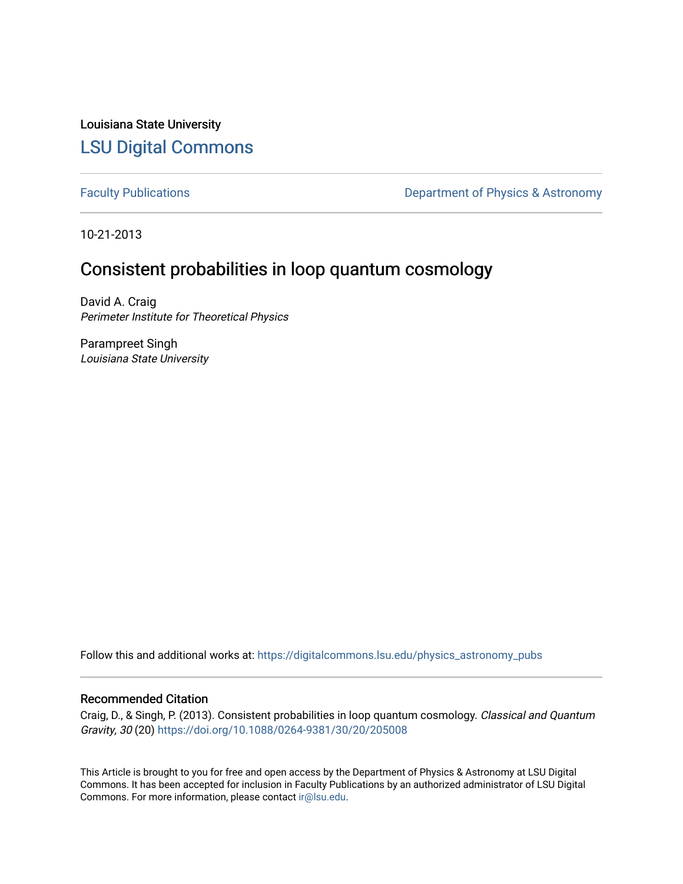Louisiana State University [LSU Digital Commons](https://digitalcommons.lsu.edu/)

[Faculty Publications](https://digitalcommons.lsu.edu/physics_astronomy_pubs) **Exercise 2** Constant Department of Physics & Astronomy

10-21-2013

# Consistent probabilities in loop quantum cosmology

David A. Craig Perimeter Institute for Theoretical Physics

Parampreet Singh Louisiana State University

Follow this and additional works at: [https://digitalcommons.lsu.edu/physics\\_astronomy\\_pubs](https://digitalcommons.lsu.edu/physics_astronomy_pubs?utm_source=digitalcommons.lsu.edu%2Fphysics_astronomy_pubs%2F5056&utm_medium=PDF&utm_campaign=PDFCoverPages) 

# Recommended Citation

Craig, D., & Singh, P. (2013). Consistent probabilities in loop quantum cosmology. Classical and Quantum Gravity, 30 (20)<https://doi.org/10.1088/0264-9381/30/20/205008>

This Article is brought to you for free and open access by the Department of Physics & Astronomy at LSU Digital Commons. It has been accepted for inclusion in Faculty Publications by an authorized administrator of LSU Digital Commons. For more information, please contact [ir@lsu.edu](mailto:ir@lsu.edu).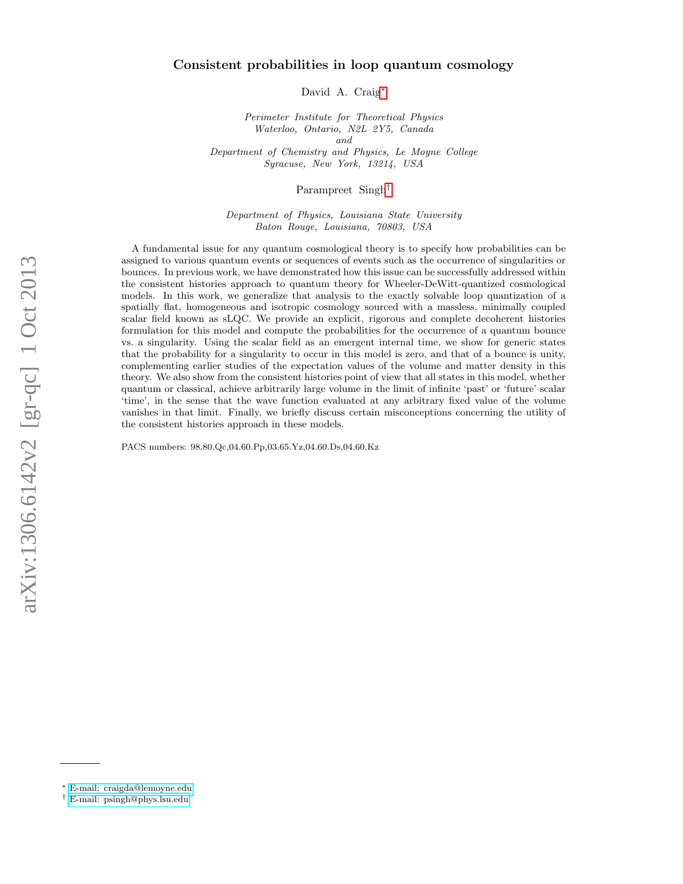# arXiv:1306.6142v2 [gr-qc] 1 Oct 2013 arXiv:1306.6142v2 [gr-qc] 1 Oct 2013

## Consistent probabilities in loop quantum cosmology

David A. Craig[∗](#page-1-0)

Perimeter Institute for Theoretical Physics Waterloo, Ontario, N2L 2Y5, Canada and Department of Chemistry and Physics, Le Moyne College Syracuse, New York, 13214, USA

Parampreet Singh[†](#page-1-1)

Department of Physics, Louisiana State University Baton Rouge, Louisiana, 70803, USA

A fundamental issue for any quantum cosmological theory is to specify how probabilities can be assigned to various quantum events or sequences of events such as the occurrence of singularities or bounces. In previous work, we have demonstrated how this issue can be successfully addressed within the consistent histories approach to quantum theory for Wheeler-DeWitt-quantized cosmological models. In this work, we generalize that analysis to the exactly solvable loop quantization of a spatially flat, homogeneous and isotropic cosmology sourced with a massless, minimally coupled scalar field known as sLQC. We provide an explicit, rigorous and complete decoherent histories formulation for this model and compute the probabilities for the occurrence of a quantum bounce vs. a singularity. Using the scalar field as an emergent internal time, we show for generic states that the probability for a singularity to occur in this model is zero, and that of a bounce is unity, complementing earlier studies of the expectation values of the volume and matter density in this theory. We also show from the consistent histories point of view that all states in this model, whether quantum or classical, achieve arbitrarily large volume in the limit of infinite 'past' or 'future' scalar 'time', in the sense that the wave function evaluated at any arbitrary fixed value of the volume vanishes in that limit. Finally, we briefly discuss certain misconceptions concerning the utility of the consistent histories approach in these models.

PACS numbers: 98.80.Qc,04.60.Pp,03.65.Yz,04.60.Ds,04.60.Kz

<span id="page-1-0"></span><sup>∗</sup> [E-mail: craigda@lemoyne.edu](mailto:E-mail: craigda@lemoyne.edu)

<span id="page-1-1"></span><sup>†</sup> [E-mail: psingh@phys.lsu.edu](mailto:E-mail: psingh@phys.lsu.edu)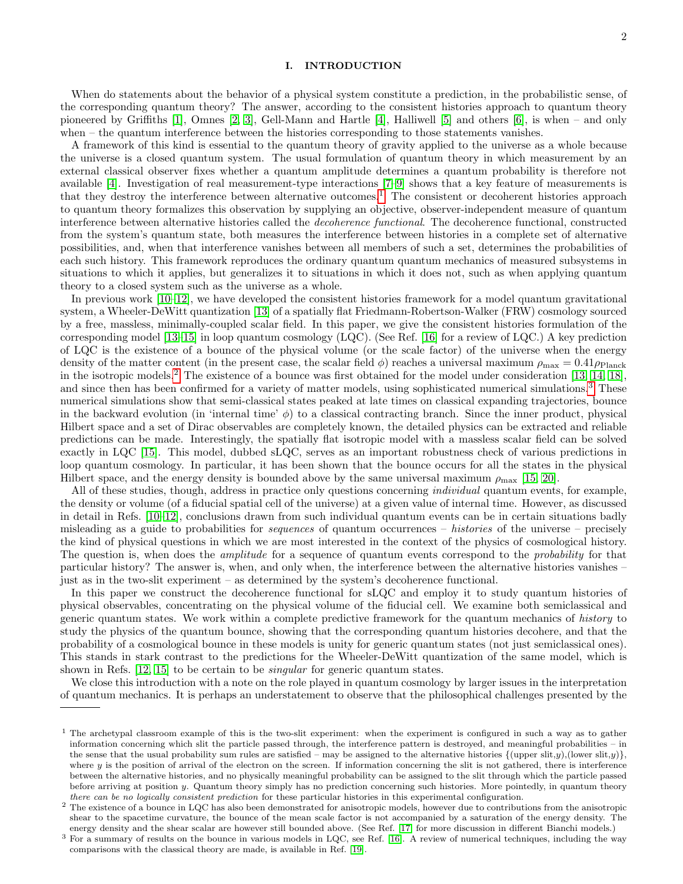### I. INTRODUCTION

When do statements about the behavior of a physical system constitute a prediction, in the probabilistic sense, of the corresponding quantum theory? The answer, according to the consistent histories approach to quantum theory pioneered by Griffiths [\[1\]](#page-20-0), Omnes [\[2,](#page-20-1) [3\]](#page-20-2), Gell-Mann and Hartle [\[4\]](#page-20-3), Halliwell [\[5\]](#page-20-4) and others [\[6\]](#page-21-0), is when – and only when – the quantum interference between the histories corresponding to those statements vanishes.

A framework of this kind is essential to the quantum theory of gravity applied to the universe as a whole because the universe is a closed quantum system. The usual formulation of quantum theory in which measurement by an external classical observer fixes whether a quantum amplitude determines a quantum probability is therefore not available [\[4\]](#page-20-3). Investigation of real measurement-type interactions [\[7–](#page-21-1)[9\]](#page-21-2) shows that a key feature of measurements is that they destroy the interference between alternative outcomes.<sup>[1](#page-2-0)</sup> The consistent or decoherent histories approach to quantum theory formalizes this observation by supplying an objective, observer-independent measure of quantum interference between alternative histories called the decoherence functional. The decoherence functional, constructed from the system's quantum state, both measures the interference between histories in a complete set of alternative possibilities, and, when that interference vanishes between all members of such a set, determines the probabilities of each such history. This framework reproduces the ordinary quantum quantum mechanics of measured subsystems in situations to which it applies, but generalizes it to situations in which it does not, such as when applying quantum theory to a closed system such as the universe as a whole.

In previous work [\[10–](#page-21-3)[12\]](#page-21-4), we have developed the consistent histories framework for a model quantum gravitational system, a Wheeler-DeWitt quantization [\[13\]](#page-21-5) of a spatially flat Friedmann-Robertson-Walker (FRW) cosmology sourced by a free, massless, minimally-coupled scalar field. In this paper, we give the consistent histories formulation of the corresponding model [\[13](#page-21-5)[–15\]](#page-21-6) in loop quantum cosmology (LQC). (See Ref. [\[16\]](#page-21-7) for a review of LQC.) A key prediction of LQC is the existence of a bounce of the physical volume (or the scale factor) of the universe when the energy density of the matter content (in the present case, the scalar field  $\phi$ ) reaches a universal maximum  $\rho_{\text{max}} = 0.41 \rho_{\text{Planck}}$ in the isotropic models.[2](#page-2-1) The existence of a bounce was first obtained for the model under consideration [\[13,](#page-21-5) [14,](#page-21-8) [18\]](#page-21-9), and since then has been confirmed for a variety of matter models, using sophisticated numerical simulations.[3](#page-2-2) These numerical simulations show that semi-classical states peaked at late times on classical expanding trajectories, bounce in the backward evolution (in 'internal time'  $\phi$ ) to a classical contracting branch. Since the inner product, physical Hilbert space and a set of Dirac observables are completely known, the detailed physics can be extracted and reliable predictions can be made. Interestingly, the spatially flat isotropic model with a massless scalar field can be solved exactly in LQC [\[15\]](#page-21-6). This model, dubbed sLQC, serves as an important robustness check of various predictions in loop quantum cosmology. In particular, it has been shown that the bounce occurs for all the states in the physical Hilbert space, and the energy density is bounded above by the same universal maximum  $\rho_{\text{max}}$  [\[15,](#page-21-6) [20\]](#page-21-10).

All of these studies, though, address in practice only questions concerning individual quantum events, for example, the density or volume (of a fiducial spatial cell of the universe) at a given value of internal time. However, as discussed in detail in Refs. [\[10–](#page-21-3)[12\]](#page-21-4), conclusions drawn from such individual quantum events can be in certain situations badly misleading as a guide to probabilities for *sequences* of quantum occurrences – histories of the universe – precisely the kind of physical questions in which we are most interested in the context of the physics of cosmological history. The question is, when does the *amplitude* for a sequence of quantum events correspond to the *probability* for that particular history? The answer is, when, and only when, the interference between the alternative histories vanishes – just as in the two-slit experiment – as determined by the system's decoherence functional.

In this paper we construct the decoherence functional for sLQC and employ it to study quantum histories of physical observables, concentrating on the physical volume of the fiducial cell. We examine both semiclassical and generic quantum states. We work within a complete predictive framework for the quantum mechanics of history to study the physics of the quantum bounce, showing that the corresponding quantum histories decohere, and that the probability of a cosmological bounce in these models is unity for generic quantum states (not just semiclassical ones). This stands in stark contrast to the predictions for the Wheeler-DeWitt quantization of the same model, which is shown in Refs. [\[12,](#page-21-4) [15\]](#page-21-6) to be certain to be *singular* for generic quantum states.

We close this introduction with a note on the role played in quantum cosmology by larger issues in the interpretation of quantum mechanics. It is perhaps an understatement to observe that the philosophical challenges presented by the

<span id="page-2-0"></span><sup>&</sup>lt;sup>1</sup> The archetypal classroom example of this is the two-slit experiment: when the experiment is configured in such a way as to gather information concerning which slit the particle passed through, the interference pattern is destroyed, and meaningful probabilities – in the sense that the usual probability sum rules are satisfied – may be assigned to the alternative histories  $\{(upper slit, y), (lower slit, y)\},\$ where y is the position of arrival of the electron on the screen. If information concerning the slit is not gathered, there is interference between the alternative histories, and no physically meaningful probability can be assigned to the slit through which the particle passed before arriving at position y. Quantum theory simply has no prediction concerning such histories. More pointedly, in quantum theory there can be no logically consistent prediction for these particular histories in this experimental configuration.

<span id="page-2-1"></span><sup>&</sup>lt;sup>2</sup> The existence of a bounce in LQC has also been demonstrated for anisotropic models, however due to contributions from the anisotropic shear to the spacetime curvature, the bounce of the mean scale factor is not accompanied by a saturation of the energy density. The energy density and the shear scalar are however still bounded above. (See Ref. [\[17\]](#page-21-11) for more discussion in different Bianchi models.)

<span id="page-2-2"></span><sup>&</sup>lt;sup>3</sup> For a summary of results on the bounce in various models in LQC, see Ref. [\[16\]](#page-21-7). A review of numerical techniques, including the way comparisons with the classical theory are made, is available in Ref. [\[19\]](#page-21-12).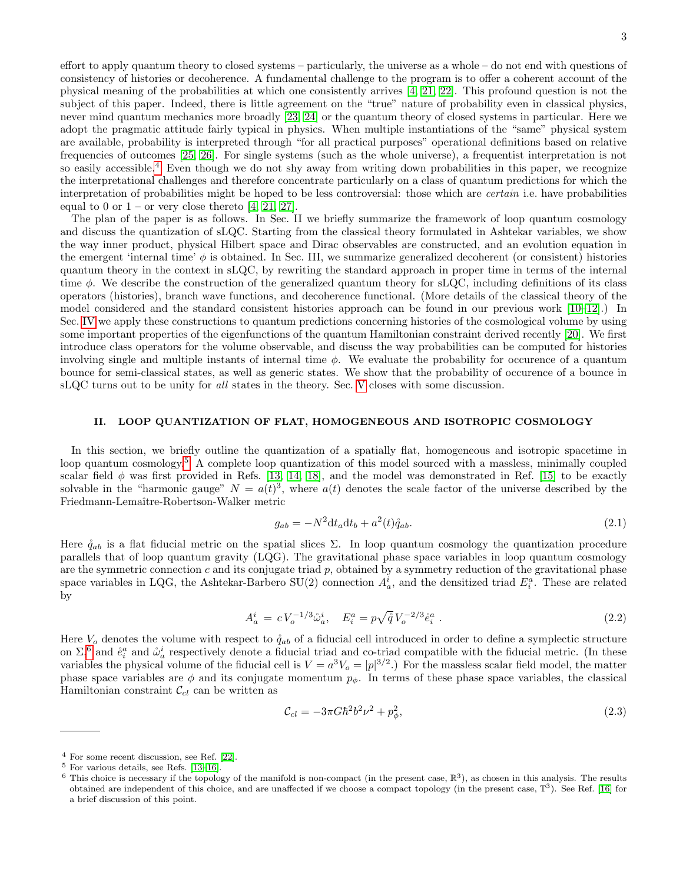effort to apply quantum theory to closed systems – particularly, the universe as a whole – do not end with questions of consistency of histories or decoherence. A fundamental challenge to the program is to offer a coherent account of the physical meaning of the probabilities at which one consistently arrives [\[4,](#page-20-5) [21,](#page-21-13) [22\]](#page-21-14). This profound question is not the subject of this paper. Indeed, there is little agreement on the "true" nature of probability even in classical physics, never mind quantum mechanics more broadly [\[23,](#page-21-15) [24\]](#page-21-16) or the quantum theory of closed systems in particular. Here we adopt the pragmatic attitude fairly typical in physics. When multiple instantiations of the "same" physical system are available, probability is interpreted through "for all practical purposes" operational definitions based on relative frequencies of outcomes [\[25,](#page-21-17) [26\]](#page-21-18). For single systems (such as the whole universe), a frequentist interpretation is not so easily accessible.<sup>[4](#page-3-0)</sup> Even though we do not shy away from writing down probabilities in this paper, we recognize the interpretational challenges and therefore concentrate particularly on a class of quantum predictions for which the interpretation of probabilities might be hoped to be less controversial: those which are certain i.e. have probabilities equal to 0 or  $1$  – or very close thereto [\[4,](#page-20-5) [21,](#page-21-13) [27\]](#page-21-19).

The plan of the paper is as follows. In Sec. II we briefly summarize the framework of loop quantum cosmology and discuss the quantization of sLQC. Starting from the classical theory formulated in Ashtekar variables, we show the way inner product, physical Hilbert space and Dirac observables are constructed, and an evolution equation in the emergent 'internal time'  $\phi$  is obtained. In Sec. III, we summarize generalized decoherent (or consistent) histories quantum theory in the context in sLQC, by rewriting the standard approach in proper time in terms of the internal time  $\phi$ . We describe the construction of the generalized quantum theory for sLQC, including definitions of its class operators (histories), branch wave functions, and decoherence functional. (More details of the classical theory of the model considered and the standard consistent histories approach can be found in our previous work [\[10–](#page-21-3)[12\]](#page-21-4).) In Sec. [IV](#page-9-0) we apply these constructions to quantum predictions concerning histories of the cosmological volume by using some important properties of the eigenfunctions of the quantum Hamiltonian constraint derived recently [\[20\]](#page-21-10). We first introduce class operators for the volume observable, and discuss the way probabilities can be computed for histories involving single and multiple instants of internal time  $\phi$ . We evaluate the probability for occurence of a quantum bounce for semi-classical states, as well as generic states. We show that the probability of occurence of a bounce in sLQC turns out to be unity for all states in the theory. Sec. [V](#page-18-0) closes with some discussion.

### <span id="page-3-4"></span>II. LOOP QUANTIZATION OF FLAT, HOMOGENEOUS AND ISOTROPIC COSMOLOGY

In this section, we briefly outline the quantization of a spatially flat, homogeneous and isotropic spacetime in loop quantum cosmology.[5](#page-3-1) A complete loop quantization of this model sourced with a massless, minimally coupled scalar field  $\phi$  was first provided in Refs. [\[13,](#page-21-5) [14,](#page-21-8) [18\]](#page-21-9), and the model was demonstrated in Ref. [\[15\]](#page-21-6) to be exactly solvable in the "harmonic gauge"  $N = a(t)^3$ , where  $a(t)$  denotes the scale factor of the universe described by the Friedmann-Lemaˆıtre-Robertson-Walker metric

$$
g_{ab} = -N^2 \mathrm{d}t_a \mathrm{d}t_b + a^2(t)\hat{q}_{ab}.\tag{2.1}
$$

Here  $\mathring{q}_{ab}$  is a flat fiducial metric on the spatial slices  $\Sigma$ . In loop quantum cosmology the quantization procedure parallels that of loop quantum gravity (LQG). The gravitational phase space variables in loop quantum cosmology are the symmetric connection  $c$  and its conjugate triad  $p$ , obtained by a symmetry reduction of the gravitational phase space variables in LQG, the Ashtekar-Barbero SU(2) connection  $A_a^i$ , and the densitized triad  $E_i^a$ . These are related by

$$
A_a^i = c V_o^{-1/3} \mathring{\omega}_a^i, \quad E_i^a = p \sqrt{\mathring{q}} V_o^{-2/3} \mathring{e}_i^a \tag{2.2}
$$

Here  $V_o$  denotes the volume with respect to  $\mathring{q}_{ab}$  of a fiducial cell introduced in order to define a symplectic structure on  $\Sigma$ <sup>[6](#page-3-2)</sup>, and  $\mathring{e}_i^a$  and  $\mathring{\omega}_a^i$  respectively denote a fiducial triad and co-triad compatible with the fiducial metric. (In these variables the physical volume of the fiducial cell is  $V = a^3 V_o = |p|^{3/2}$ . For the massless scalar field model, the matter phase space variables are  $\phi$  and its conjugate momentum  $p_{\phi}$ . In terms of these phase space variables, the classical Hamiltonian constraint  $\mathcal{C}_{cl}$  can be written as

<span id="page-3-3"></span>
$$
\mathcal{C}_{cl} = -3\pi G \hbar^2 b^2 \nu^2 + p_\phi^2,\tag{2.3}
$$

<span id="page-3-0"></span><sup>4</sup> For some recent discussion, see Ref. [\[22\]](#page-21-14).

<span id="page-3-1"></span><sup>5</sup> For various details, see Refs. [\[13](#page-21-5)[–16\]](#page-21-7).

<span id="page-3-2"></span><sup>&</sup>lt;sup>6</sup> This choice is necessary if the topology of the manifold is non-compact (in the present case,  $\mathbb{R}^3$ ), as chosen in this analysis. The results obtained are independent of this choice, and are unaffected if we choose a compact topology (in the present case,  $\mathbb{T}^3$ ). See Ref. [\[16\]](#page-21-7) for a brief discussion of this point.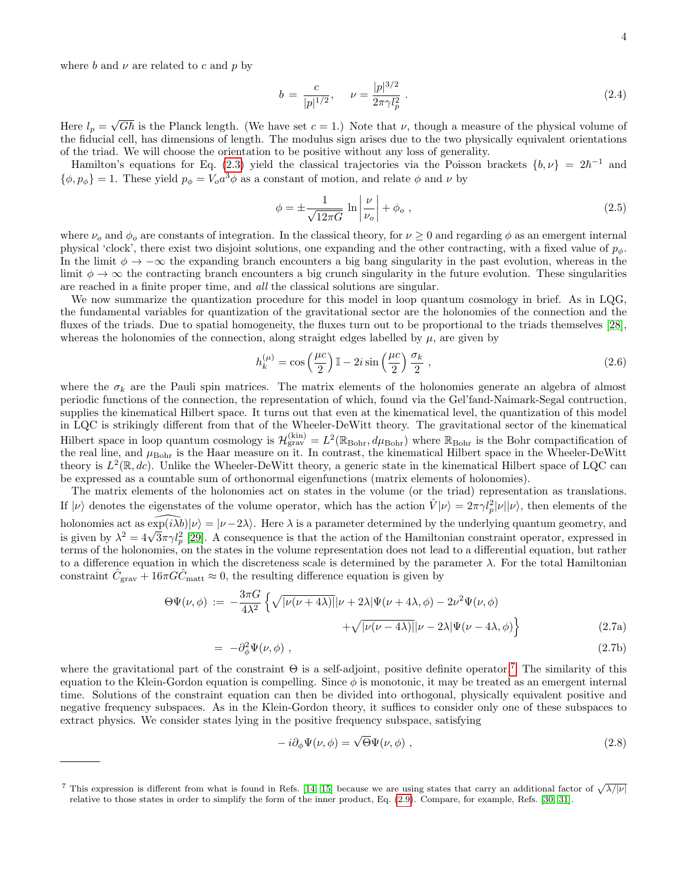where b and  $\nu$  are related to c and p by

$$
b = \frac{c}{|p|^{1/2}}, \quad \nu = \frac{|p|^{3/2}}{2\pi \gamma l_p^2} \,. \tag{2.4}
$$

Here  $l_p =$  $\sqrt{G\hbar}$  is the Planck length. (We have set  $c = 1$ .) Note that  $\nu$ , though a measure of the physical volume of the fiducial cell, has dimensions of length. The modulus sign arises due to the two physically equivalent orientations of the triad. We will choose the orientation to be positive without any loss of generality.

Hamilton's equations for Eq. [\(2.3\)](#page-3-3) yield the classical trajectories via the Poisson brackets  ${b, \nu} = 2\hbar^{-1}$  and  $\{\phi, p_{\phi}\} = 1$ . These yield  $p_{\phi} = V_0 a^3 \dot{\phi}$  as a constant of motion, and relate  $\phi$  and  $\nu$  by

<span id="page-4-3"></span>
$$
\phi = \pm \frac{1}{\sqrt{12\pi G}} \ln \left| \frac{\nu}{\nu_o} \right| + \phi_o , \qquad (2.5)
$$

where  $\nu_o$  and  $\phi_o$  are constants of integration. In the classical theory, for  $\nu \geq 0$  and regarding  $\phi$  as an emergent internal physical 'clock', there exist two disjoint solutions, one expanding and the other contracting, with a fixed value of  $p_{\phi}$ . In the limit  $\phi \to -\infty$  the expanding branch encounters a big bang singularity in the past evolution, whereas in the limit  $\phi \to \infty$  the contracting branch encounters a big crunch singularity in the future evolution. These singularities are reached in a finite proper time, and all the classical solutions are singular.

We now summarize the quantization procedure for this model in loop quantum cosmology in brief. As in LQG, the fundamental variables for quantization of the gravitational sector are the holonomies of the connection and the fluxes of the triads. Due to spatial homogeneity, the fluxes turn out to be proportional to the triads themselves [\[28\]](#page-21-20), whereas the holonomies of the connection, along straight edges labelled by  $\mu$ , are given by

$$
h_k^{(\mu)} = \cos\left(\frac{\mu c}{2}\right) \mathbb{I} - 2i\sin\left(\frac{\mu c}{2}\right)\frac{\sigma_k}{2} \,,\tag{2.6}
$$

where the  $\sigma_k$  are the Pauli spin matrices. The matrix elements of the holonomies generate an algebra of almost periodic functions of the connection, the representation of which, found via the Gel'fand-Naimark-Segal contruction, supplies the kinematical Hilbert space. It turns out that even at the kinematical level, the quantization of this model in LQC is strikingly different from that of the Wheeler-DeWitt theory. The gravitational sector of the kinematical Hilbert space in loop quantum cosmology is  $\mathcal{H}_{grav}^{(kin)} = L^2(\mathbb{R}_{Bohr}, d\mu_{Bohr})$  where  $\mathbb{R}_{Bohr}$  is the Bohr compactification of the real line, and  $\mu_{Bohr}$  is the Haar measure on it. In contrast, the kinematical Hilbert space in the Wheeler-DeWitt theory is  $L^2(\mathbb{R},dc)$ . Unlike the Wheeler-DeWitt theory, a generic state in the kinematical Hilbert space of LQC can be expressed as a countable sum of orthonormal eigenfunctions (matrix elements of holonomies).

The matrix elements of the holonomies act on states in the volume (or the triad) representation as translations. If  $|v\rangle$  denotes the eigenstates of the volume operator, which has the action  $\hat{V}|v\rangle = 2\pi \gamma l_p^2 |v||v\rangle$ , then elements of the holonomies act as  $\exp(i\lambda b)|\nu\rangle = |\nu - 2\lambda\rangle$ . Here  $\lambda$  is a parameter determined by the underlying quantum geometry, and nolonomies act as  $\exp(i\lambda\theta)|\nu\rangle = |\nu - \lambda\rangle$ . Here  $\lambda$  is a parameter determined by the underlying quantum geometry, and<br>is given by  $\lambda^2 = 4\sqrt{3}\pi\gamma l_p^2$  [\[29\]](#page-21-21). A consequence is that the action of the Hamiltonian constraint terms of the holonomies, on the states in the volume representation does not lead to a differential equation, but rather to a difference equation in which the discreteness scale is determined by the parameter  $\lambda$ . For the total Hamiltonian constraint  $\hat{C}_{grav} + 16\pi G \hat{C}_{matt} \approx 0$ , the resulting difference equation is given by

<span id="page-4-2"></span>
$$
\Theta\Psi(\nu,\phi) := -\frac{3\pi G}{4\lambda^2} \left\{ \sqrt{|\nu(\nu+4\lambda)|} |\nu+2\lambda|\Psi(\nu+4\lambda,\phi) - 2\nu^2\Psi(\nu,\phi) \right. \\ \left. + \sqrt{|\nu(\nu-4\lambda)|} |\nu-2\lambda|\Psi(\nu-4\lambda,\phi) \right\} \tag{2.7a}
$$

$$
= -\partial_{\phi}^{2} \Psi(\nu, \phi) , \qquad (2.7b)
$$

where the gravitational part of the constraint  $\Theta$  is a self-adjoint, positive definite operator.<sup>[7](#page-4-0)</sup> The similarity of this equation to the Klein-Gordon equation is compelling. Since  $\phi$  is monotonic, it may be treated as an emergent internal time. Solutions of the constraint equation can then be divided into orthogonal, physically equivalent positive and negative frequency subspaces. As in the Klein-Gordon theory, it suffices to consider only one of these subspaces to extract physics. We consider states lying in the positive frequency subspace, satisfying

<span id="page-4-1"></span>
$$
-i\partial_{\phi}\Psi(\nu,\phi) = \sqrt{\Theta}\Psi(\nu,\phi) , \qquad (2.8)
$$

<span id="page-4-0"></span><sup>&</sup>lt;sup>7</sup> This expression is different from what is found in Refs. [\[14,](#page-21-8) [15\]](#page-21-6) because we are using states that carry an additional factor of  $\sqrt{\lambda/|\nu|}$ relative to those states in order to simplify the form of the inner product, Eq. [\(2.9\)](#page-5-0). Compare, for example, Refs. [\[30,](#page-21-22) [31\]](#page-21-23).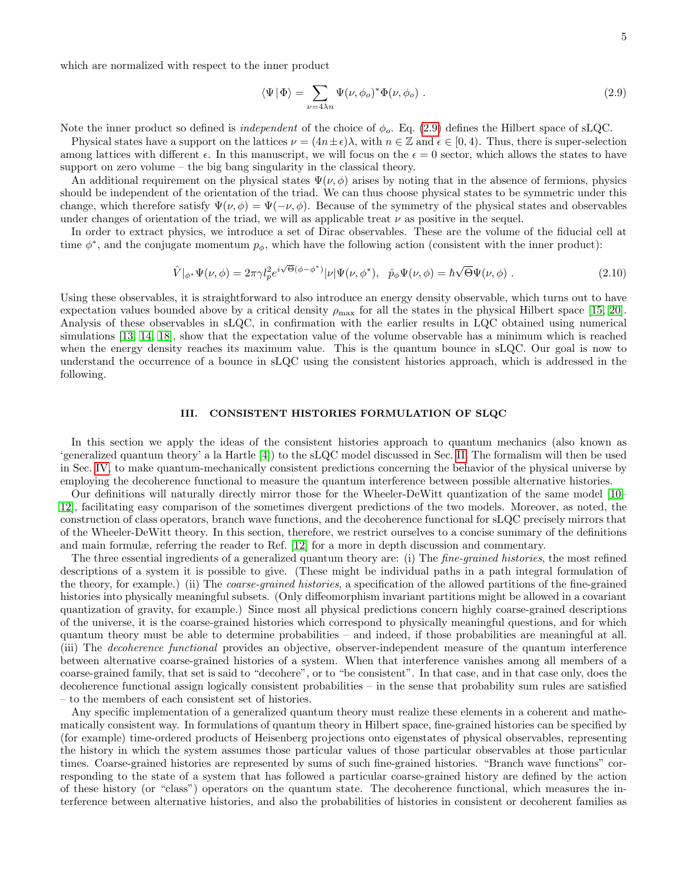which are normalized with respect to the inner product

<span id="page-5-0"></span>
$$
\langle \Psi | \Phi \rangle = \sum_{\nu = 4\lambda n} \Psi(\nu, \phi_o)^* \Phi(\nu, \phi_o) . \tag{2.9}
$$

Note the inner product so defined is *independent* of the choice of  $\phi_o$ . Eq. [\(2.9\)](#page-5-0) defines the Hilbert space of sLQC.

Physical states have a support on the lattices  $\nu = (4n \pm \epsilon)\lambda$ , with  $n \in \mathbb{Z}$  and  $\epsilon \in [0, 4)$ . Thus, there is super-selection among lattices with different  $\epsilon$ . In this manuscript, we will focus on the  $\epsilon = 0$  sector, which allows the states to have support on zero volume – the big bang singularity in the classical theory.

An additional requirement on the physical states  $\Psi(\nu, \phi)$  arises by noting that in the absence of fermions, physics should be independent of the orientation of the triad. We can thus choose physical states to be symmetric under this change, which therefore satisfy  $\Psi(\nu, \phi) = \Psi(-\nu, \phi)$ . Because of the symmetry of the physical states and observables under changes of orientation of the triad, we will as applicable treat  $\nu$  as positive in the sequel.

In order to extract physics, we introduce a set of Dirac observables. These are the volume of the fiducial cell at time  $\phi^*$ , and the conjugate momentum  $p_{\phi}$ , which have the following action (consistent with the inner product):

$$
\hat{V}|_{\phi^*} \Psi(\nu,\phi) = 2\pi \gamma l_p^2 e^{i\sqrt{\Theta}(\phi-\phi^*)} |\nu| \Psi(\nu,\phi^*), \quad \hat{p}_{\phi} \Psi(\nu,\phi) = \hbar \sqrt{\Theta} \Psi(\nu,\phi) . \tag{2.10}
$$

Using these observables, it is straightforward to also introduce an energy density observable, which turns out to have expectation values bounded above by a critical density  $\rho_{\text{max}}$  for all the states in the physical Hilbert space [\[15,](#page-21-6) [20\]](#page-21-10). Analysis of these observables in sLQC, in confirmation with the earlier results in LQC obtained using numerical simulations [\[13,](#page-21-5) [14,](#page-21-8) [18\]](#page-21-9), show that the expectation value of the volume observable has a minimum which is reached when the energy density reaches its maximum value. This is the quantum bounce in sLQC. Our goal is now to understand the occurrence of a bounce in sLQC using the consistent histories approach, which is addressed in the following.

### III. CONSISTENT HISTORIES FORMULATION OF SLQC

In this section we apply the ideas of the consistent histories approach to quantum mechanics (also known as 'generalized quantum theory' a la Hartle [\[4\]](#page-20-5)) to the sLQC model discussed in Sec. [II.](#page-3-4) The formalism will then be used in Sec. [IV,](#page-9-0) to make quantum-mechanically consistent predictions concerning the behavior of the physical universe by employing the decoherence functional to measure the quantum interference between possible alternative histories.

Our definitions will naturally directly mirror those for the Wheeler-DeWitt quantization of the same model [\[10–](#page-21-3) [12\]](#page-21-4), facilitating easy comparison of the sometimes divergent predictions of the two models. Moreover, as noted, the construction of class operators, branch wave functions, and the decoherence functional for sLQC precisely mirrors that of the Wheeler-DeWitt theory. In this section, therefore, we restrict ourselves to a concise summary of the definitions and main formulæ, referring the reader to Ref. [\[12\]](#page-21-4) for a more in depth discussion and commentary.

The three essential ingredients of a generalized quantum theory are: (i) The *fine-grained histories*, the most refined descriptions of a system it is possible to give. (These might be individual paths in a path integral formulation of the theory, for example.) (ii) The coarse-grained histories, a specification of the allowed partitions of the fine-grained histories into physically meaningful subsets. (Only diffeomorphism invariant partitions might be allowed in a covariant quantization of gravity, for example.) Since most all physical predictions concern highly coarse-grained descriptions of the universe, it is the coarse-grained histories which correspond to physically meaningful questions, and for which quantum theory must be able to determine probabilities – and indeed, if those probabilities are meaningful at all. (iii) The decoherence functional provides an objective, observer-independent measure of the quantum interference between alternative coarse-grained histories of a system. When that interference vanishes among all members of a coarse-grained family, that set is said to "decohere", or to "be consistent". In that case, and in that case only, does the decoherence functional assign logically consistent probabilities – in the sense that probability sum rules are satisfied – to the members of each consistent set of histories.

Any specific implementation of a generalized quantum theory must realize these elements in a coherent and mathematically consistent way. In formulations of quantum theory in Hilbert space, fine-grained histories can be specified by (for example) time-ordered products of Heisenberg projections onto eigenstates of physical observables, representing the history in which the system assumes those particular values of those particular observables at those particular times. Coarse-grained histories are represented by sums of such fine-grained histories. "Branch wave functions" corresponding to the state of a system that has followed a particular coarse-grained history are defined by the action of these history (or "class") operators on the quantum state. The decoherence functional, which measures the interference between alternative histories, and also the probabilities of histories in consistent or decoherent families as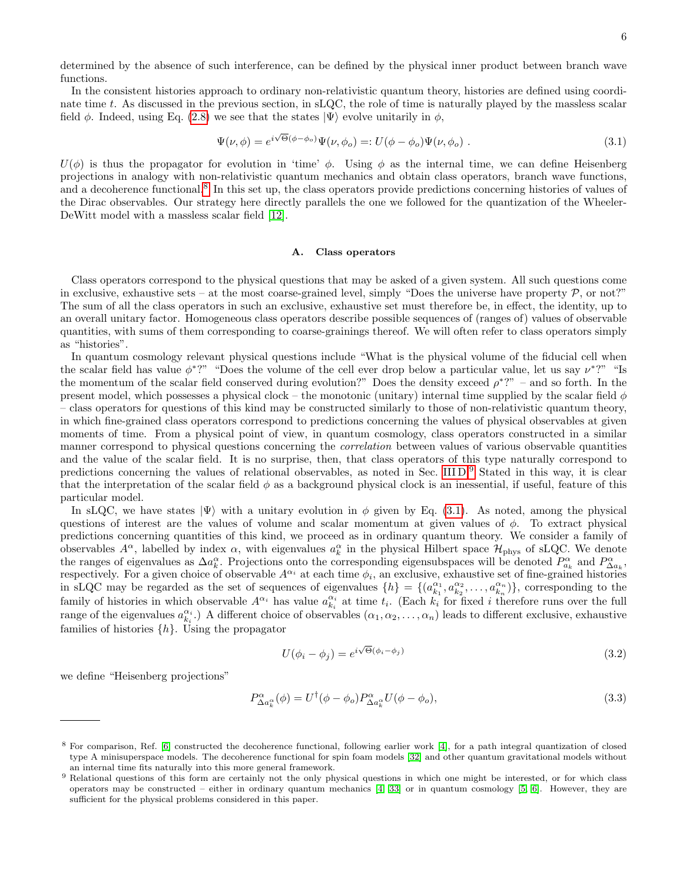In the consistent histories approach to ordinary non-relativistic quantum theory, histories are defined using coordinate time t. As discussed in the previous section, in sLQC, the role of time is naturally played by the massless scalar field  $\phi$ . Indeed, using Eq. [\(2.8\)](#page-4-1) we see that the states  $|\Psi\rangle$  evolve unitarily in  $\phi$ ,

<span id="page-6-2"></span>
$$
\Psi(\nu,\phi) = e^{i\sqrt{\Theta}(\phi-\phi_o)}\Psi(\nu,\phi_o) =: U(\phi-\phi_o)\Psi(\nu,\phi_o) .
$$
\n(3.1)

 $U(\phi)$  is thus the propagator for evolution in 'time'  $\phi$ . Using  $\phi$  as the internal time, we can define Heisenberg projections in analogy with non-relativistic quantum mechanics and obtain class operators, branch wave functions, and a decoherence functional.<sup>[8](#page-6-0)</sup> In this set up, the class operators provide predictions concerning histories of values of the Dirac observables. Our strategy here directly parallels the one we followed for the quantization of the Wheeler-DeWitt model with a massless scalar field [\[12\]](#page-21-4).

### A. Class operators

Class operators correspond to the physical questions that may be asked of a given system. All such questions come in exclusive, exhaustive sets – at the most coarse-grained level, simply "Does the universe have property  $P$ , or not?" The sum of all the class operators in such an exclusive, exhaustive set must therefore be, in effect, the identity, up to an overall unitary factor. Homogeneous class operators describe possible sequences of (ranges of) values of observable quantities, with sums of them corresponding to coarse-grainings thereof. We will often refer to class operators simply as "histories".

In quantum cosmology relevant physical questions include "What is the physical volume of the fiducial cell when the scalar field has value  $\phi^*$ ?" "Does the volume of the cell ever drop below a particular value, let us say  $\nu^*$ ?" "Is the momentum of the scalar field conserved during evolution?" Does the density exceed  $\rho^*$ ?" – and so forth. In the present model, which possesses a physical clock – the monotonic (unitary) internal time supplied by the scalar field  $\phi$ – class operators for questions of this kind may be constructed similarly to those of non-relativistic quantum theory, in which fine-grained class operators correspond to predictions concerning the values of physical observables at given moments of time. From a physical point of view, in quantum cosmology, class operators constructed in a similar manner correspond to physical questions concerning the correlation between values of various observable quantities and the value of the scalar field. It is no surprise, then, that class operators of this type naturally correspond to predictions concerning the values of relational observables, as noted in Sec. [III D.](#page-8-0)[9](#page-6-1) Stated in this way, it is clear that the interpretation of the scalar field  $\phi$  as a background physical clock is an inessential, if useful, feature of this particular model.

In sLQC, we have states  $|\Psi\rangle$  with a unitary evolution in  $\phi$  given by Eq. [\(3.1\)](#page-6-2). As noted, among the physical questions of interest are the values of volume and scalar momentum at given values of  $\phi$ . To extract physical predictions concerning quantities of this kind, we proceed as in ordinary quantum theory. We consider a family of observables  $A^{\alpha}$ , labelled by index  $\alpha$ , with eigenvalues  $a_k^{\alpha}$  in the physical Hilbert space  $\mathcal{H}_{\text{phys}}$  of sLQC. We denote the ranges of eigenvalues as  $\Delta a_k^{\alpha}$ . Projections onto the corresponding eigensubspaces will be denoted  $P_{a_k}^{\alpha}$  and  $P_{\Delta a_k}^{\alpha}$ , respectively. For a given choice of observable  $A^{\alpha_i}$  at each time  $\phi_i$ , an exclusive, exhaustive set of fine-grained histories in sLQC may be regarded as the set of sequences of eigenvalues  $\{h\} = \{(a_{k_1}^{\alpha_1}, a_{k_2}^{\alpha_2}, \ldots, a_{k_n}^{\alpha_n})\}$ , corresponding to the family of histories in which observable  $A^{\alpha_i}$  has value  $a_{k_i}^{\alpha_i}$  at time  $t_i$ . (Each  $k_i$  for fixed i therefore runs over the full range of the eigenvalues  $a_{k_i}^{\alpha_i}$ . A different choice of observables  $(\alpha_1, \alpha_2, \ldots, \alpha_n)$  leads to different exclusive, exhaustive families of histories  $\{h\}$ . Using the propagator

<span id="page-6-3"></span>
$$
U(\phi_i - \phi_j) = e^{i\sqrt{\Theta}(\phi_i - \phi_j)}
$$
\n(3.2)

we define "Heisenberg projections"

$$
P_{\Delta a_k^{\alpha}}^{\alpha}(\phi) = U^{\dagger}(\phi - \phi_o) P_{\Delta a_k^{\alpha}}^{\alpha} U(\phi - \phi_o), \tag{3.3}
$$

<span id="page-6-0"></span><sup>8</sup> For comparison, Ref. [\[6\]](#page-21-24) constructed the decoherence functional, following earlier work [\[4\]](#page-20-5), for a path integral quantization of closed type A minisuperspace models. The decoherence functional for spin foam models [\[32\]](#page-21-25) and other quantum gravitational models without an internal time fits naturally into this more general framework.

<span id="page-6-1"></span><sup>9</sup> Relational questions of this form are certainly not the only physical questions in which one might be interested, or for which class operators may be constructed – either in ordinary quantum mechanics  $[4, 33]$  $[4, 33]$  or in quantum cosmology  $[5, 6]$  $[5, 6]$ . However, they are sufficient for the physical problems considered in this paper.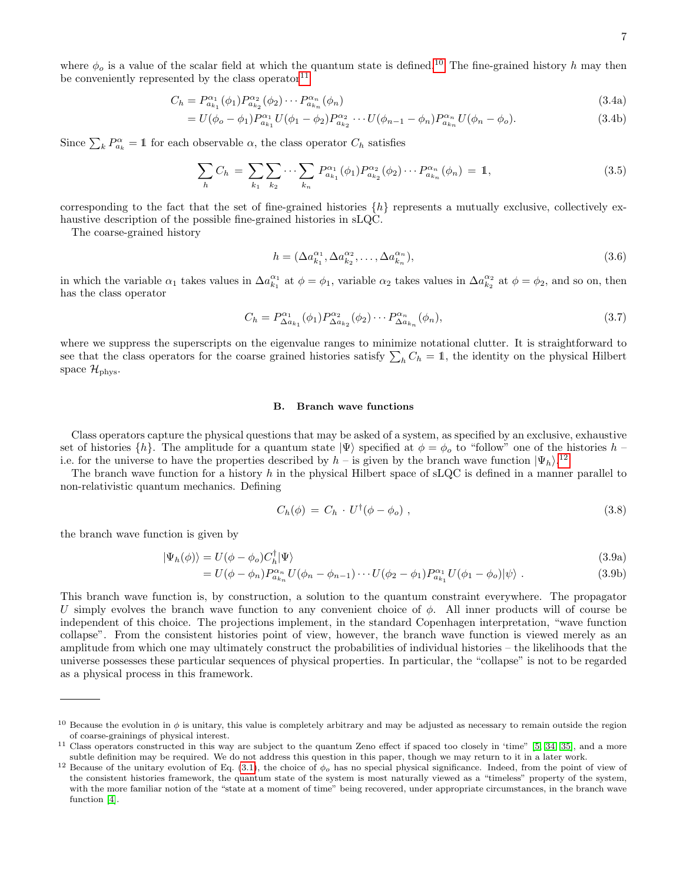where  $\phi_o$  is a value of the scalar field at which the quantum state is defined.<sup>[10](#page-7-0)</sup> The fine-grained history h may then be conveniently represented by the class operator $^{11}$  $^{11}$  $^{11}$ 

$$
C_h = P_{a_{k_1}}^{\alpha_1}(\phi_1) P_{a_{k_2}}^{\alpha_2}(\phi_2) \cdots P_{a_{k_n}}^{\alpha_n}(\phi_n)
$$
\n(3.4a)

$$
= U(\phi_o - \phi_1) P_{a_{k_1}}^{\alpha_1} U(\phi_1 - \phi_2) P_{a_{k_2}}^{\alpha_2} \cdots U(\phi_{n-1} - \phi_n) P_{a_{k_n}}^{\alpha_n} U(\phi_n - \phi_o).
$$
 (3.4b)

Since  $\sum_{k} P^{\alpha}_{a_k} = 1$  for each observable  $\alpha$ , the class operator  $C_h$  satisfies

<span id="page-7-3"></span>
$$
\sum_{h} C_{h} = \sum_{k_{1}} \sum_{k_{2}} \cdots \sum_{k_{n}} P_{a_{k_{1}}}^{\alpha_{1}}(\phi_{1}) P_{a_{k_{2}}}^{\alpha_{2}}(\phi_{2}) \cdots P_{a_{k_{n}}}^{\alpha_{n}}(\phi_{n}) = 1, \qquad (3.5)
$$

corresponding to the fact that the set of fine-grained histories  $\{h\}$  represents a mutually exclusive, collectively exhaustive description of the possible fine-grained histories in sLQC.

The coarse-grained history

$$
h = (\Delta a_{k_1}^{\alpha_1}, \Delta a_{k_2}^{\alpha_2}, \dots, \Delta a_{k_n}^{\alpha_n}),
$$
\n(3.6)

in which the variable  $\alpha_1$  takes values in  $\Delta a_{k_1}^{\alpha_1}$  at  $\phi = \phi_1$ , variable  $\alpha_2$  takes values in  $\Delta a_{k_2}^{\alpha_2}$  at  $\phi = \phi_2$ , and so on, then has the class operator

<span id="page-7-4"></span>
$$
C_h = P^{\alpha_1}_{\Delta a_{k_1}}(\phi_1) P^{\alpha_2}_{\Delta a_{k_2}}(\phi_2) \cdots P^{\alpha_n}_{\Delta a_{k_n}}(\phi_n),
$$
\n(3.7)

where we suppress the superscripts on the eigenvalue ranges to minimize notational clutter. It is straightforward to see that the class operators for the coarse grained histories satisfy  $\sum_h C_h = 1$ , the identity on the physical Hilbert space  $\mathcal{H}_{\text{phys}}$ .

### B. Branch wave functions

Class operators capture the physical questions that may be asked of a system, as specified by an exclusive, exhaustive set of histories  $\{h\}$ . The amplitude for a quantum state  $|\Psi\rangle$  specified at  $\phi = \phi_o$  to "follow" one of the histories  $h$  – i.e. for the universe to have the properties described by  $h$  – is given by the branch wave function  $|\Psi_h\rangle$ .<sup>[12](#page-7-2)</sup>

The branch wave function for a history h in the physical Hilbert space of sLQC is defined in a manner parallel to non-relativistic quantum mechanics. Defining

$$
C_h(\phi) = C_h \cdot U^{\dagger}(\phi - \phi_o) \tag{3.8}
$$

the branch wave function is given by

<span id="page-7-5"></span>
$$
|\Psi_h(\phi)\rangle = U(\phi - \phi_o)C_h^{\dagger}|\Psi\rangle \tag{3.9a}
$$

$$
= U(\phi - \phi_n) P_{a_{k_n}}^{\alpha_n} U(\phi_n - \phi_{n-1}) \cdots U(\phi_2 - \phi_1) P_{a_{k_1}}^{\alpha_1} U(\phi_1 - \phi_o) |\psi\rangle.
$$
 (3.9b)

This branch wave function is, by construction, a solution to the quantum constraint everywhere. The propagator U simply evolves the branch wave function to any convenient choice of  $\phi$ . All inner products will of course be independent of this choice. The projections implement, in the standard Copenhagen interpretation, "wave function collapse". From the consistent histories point of view, however, the branch wave function is viewed merely as an amplitude from which one may ultimately construct the probabilities of individual histories – the likelihoods that the universe possesses these particular sequences of physical properties. In particular, the "collapse" is not to be regarded as a physical process in this framework.

<span id="page-7-0"></span><sup>&</sup>lt;sup>10</sup> Because the evolution in  $\phi$  is unitary, this value is completely arbitrary and may be adjusted as necessary to remain outside the region of coarse-grainings of physical interest.

<span id="page-7-1"></span><sup>&</sup>lt;sup>11</sup> Class operators constructed in this way are subject to the quantum Zeno effect if spaced too closely in 'time" [\[5,](#page-20-8) [34,](#page-22-0) [35\]](#page-22-1), and a more subtle definition may be required. We do not address this question in this paper, though we may return to it in a later work.

<span id="page-7-2"></span><sup>&</sup>lt;sup>12</sup> Because of the unitary evolution of Eq. [\(3.1\)](#page-6-2), the choice of  $\phi_o$  has no special physical significance. Indeed, from the point of view of the consistent histories framework, the quantum state of the system is most naturally viewed as a "timeless" property of the system, with the more familiar notion of the "state at a moment of time" being recovered, under appropriate circumstances, in the branch wave function [\[4\]](#page-20-5).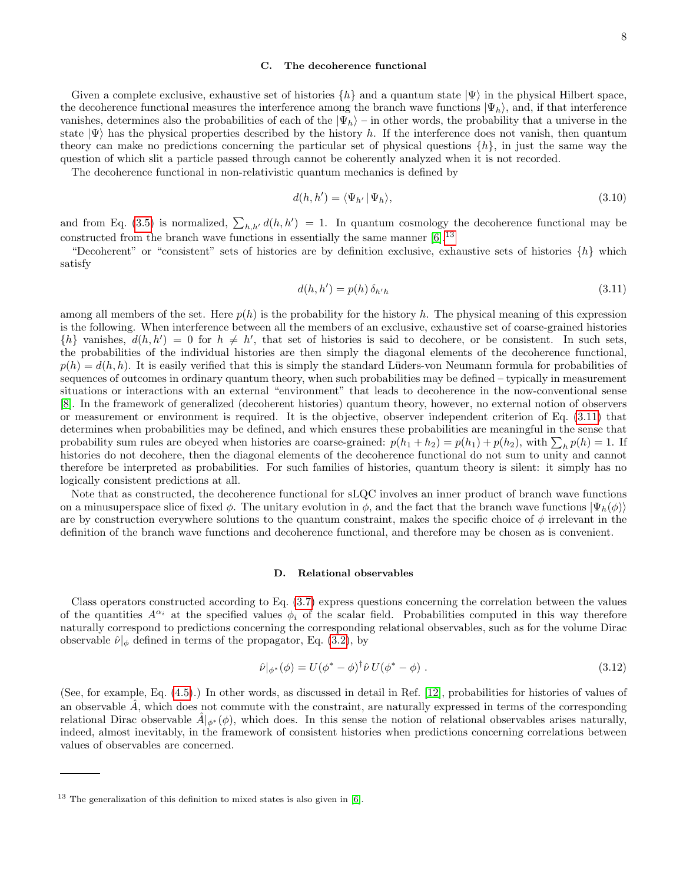### C. The decoherence functional

Given a complete exclusive, exhaustive set of histories  $\{h\}$  and a quantum state  $|\Psi\rangle$  in the physical Hilbert space, the decoherence functional measures the interference among the branch wave functions  $|\Psi_h\rangle$ , and, if that interference vanishes, determines also the probabilities of each of the  $|\Psi_h\rangle$  – in other words, the probability that a universe in the state  $|\Psi\rangle$  has the physical properties described by the history h. If the interference does not vanish, then quantum theory can make no predictions concerning the particular set of physical questions  $\{h\}$ , in just the same way the question of which slit a particle passed through cannot be coherently analyzed when it is not recorded.

The decoherence functional in non-relativistic quantum mechanics is defined by

$$
d(h, h') = \langle \Psi_{h'} | \Psi_h \rangle, \tag{3.10}
$$

and from Eq. [\(3.5\)](#page-7-3) is normalized,  $\sum_{h,h'} d(h, h') = 1$ . In quantum cosmology the decoherence functional may be constructed from the branch wave functions in essentially the same manner  $[6]$ .<sup>[13](#page-8-1)</sup>

"Decoherent" or "consistent" sets of histories are by definition exclusive, exhaustive sets of histories  $\{h\}$  which satisfy

<span id="page-8-2"></span>
$$
d(h, h') = p(h)\,\delta_{h'h} \tag{3.11}
$$

among all members of the set. Here  $p(h)$  is the probability for the history h. The physical meaning of this expression is the following. When interference between all the members of an exclusive, exhaustive set of coarse-grained histories  $\{h\}$  vanishes,  $d(h, h') = 0$  for  $h \neq h'$ , that set of histories is said to decohere, or be consistent. In such sets, the probabilities of the individual histories are then simply the diagonal elements of the decoherence functional,  $p(h) = d(h, h)$ . It is easily verified that this is simply the standard Lüders-von Neumann formula for probabilities of sequences of outcomes in ordinary quantum theory, when such probabilities may be defined – typically in measurement situations or interactions with an external "environment" that leads to decoherence in the now-conventional sense [\[8\]](#page-21-27). In the framework of generalized (decoherent histories) quantum theory, however, no external notion of observers or measurement or environment is required. It is the objective, observer independent criterion of Eq. [\(3.11\)](#page-8-2) that determines when probabilities may be defined, and which ensures these probabilities are meaningful in the sense that probability sum rules are obeyed when histories are coarse-grained:  $p(h_1 + h_2) = p(h_1) + p(h_2)$ , with  $\sum_h p(h) = 1$ . If histories do not decohere, then the diagonal elements of the decoherence functional do not sum to unity and cannot therefore be interpreted as probabilities. For such families of histories, quantum theory is silent: it simply has no logically consistent predictions at all.

Note that as constructed, the decoherence functional for sLQC involves an inner product of branch wave functions on a minusuperspace slice of fixed  $\phi$ . The unitary evolution in  $\phi$ , and the fact that the branch wave functions  $|\Psi_h(\phi)\rangle$ are by construction everywhere solutions to the quantum constraint, makes the specific choice of  $\phi$  irrelevant in the definition of the branch wave functions and decoherence functional, and therefore may be chosen as is convenient.

### <span id="page-8-0"></span>D. Relational observables

Class operators constructed according to Eq. [\(3.7\)](#page-7-4) express questions concerning the correlation between the values of the quantities  $A^{\alpha_i}$  at the specified values  $\phi_i$  of the scalar field. Probabilities computed in this way therefore naturally correspond to predictions concerning the corresponding relational observables, such as for the volume Dirac observable  $\hat{\nu}|_{\phi}$  defined in terms of the propagator, Eq. [\(3.2\)](#page-6-3), by

$$
\hat{\nu}|_{\phi^*}(\phi) = U(\phi^* - \phi)^{\dagger} \hat{\nu} U(\phi^* - \phi) . \tag{3.12}
$$

(See, for example, Eq. [\(4.5\)](#page-10-0).) In other words, as discussed in detail in Ref. [\[12\]](#page-21-4), probabilities for histories of values of an observable  $\ddot{A}$ , which does not commute with the constraint, are naturally expressed in terms of the corresponding relational Dirac observable  $\hat{A}|_{\phi^*}(\phi)$ , which does. In this sense the notion of relational observables arises naturally, indeed, almost inevitably, in the framework of consistent histories when predictions concerning correlations between values of observables are concerned.

<span id="page-8-1"></span> $13$  The generalization of this definition to mixed states is also given in [\[6\]](#page-21-24).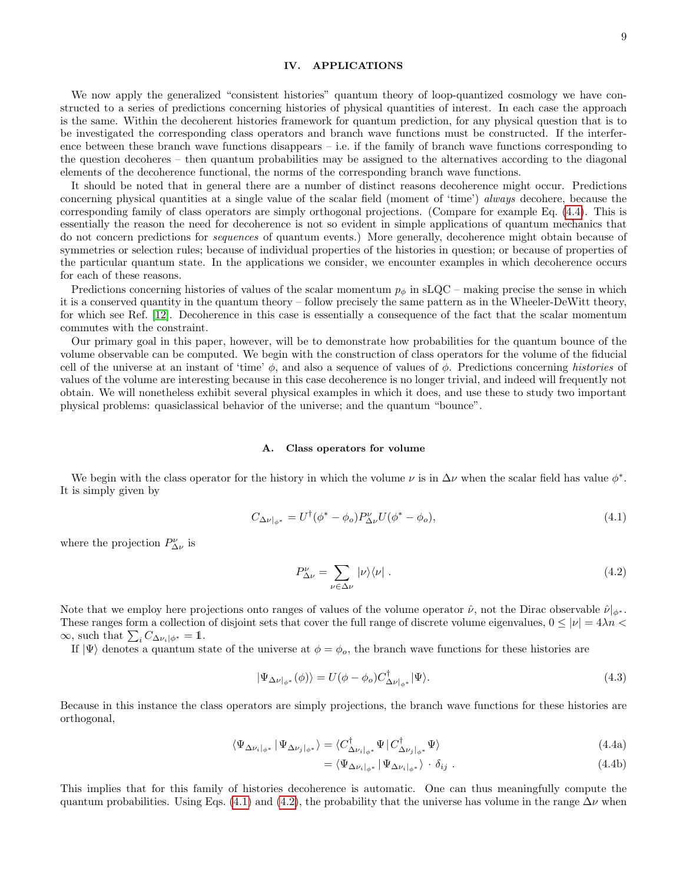### <span id="page-9-0"></span>IV. APPLICATIONS

We now apply the generalized "consistent histories" quantum theory of loop-quantized cosmology we have constructed to a series of predictions concerning histories of physical quantities of interest. In each case the approach is the same. Within the decoherent histories framework for quantum prediction, for any physical question that is to be investigated the corresponding class operators and branch wave functions must be constructed. If the interference between these branch wave functions disappears – i.e. if the family of branch wave functions corresponding to the question decoheres – then quantum probabilities may be assigned to the alternatives according to the diagonal elements of the decoherence functional, the norms of the corresponding branch wave functions.

It should be noted that in general there are a number of distinct reasons decoherence might occur. Predictions concerning physical quantities at a single value of the scalar field (moment of 'time') always decohere, because the corresponding family of class operators are simply orthogonal projections. (Compare for example Eq. [\(4.4\)](#page-9-1). This is essentially the reason the need for decoherence is not so evident in simple applications of quantum mechanics that do not concern predictions for sequences of quantum events.) More generally, decoherence might obtain because of symmetries or selection rules; because of individual properties of the histories in question; or because of properties of the particular quantum state. In the applications we consider, we encounter examples in which decoherence occurs for each of these reasons.

Predictions concerning histories of values of the scalar momentum  $p_{\phi}$  in sLQC – making precise the sense in which it is a conserved quantity in the quantum theory – follow precisely the same pattern as in the Wheeler-DeWitt theory, for which see Ref. [\[12\]](#page-21-4). Decoherence in this case is essentially a consequence of the fact that the scalar momentum commutes with the constraint.

Our primary goal in this paper, however, will be to demonstrate how probabilities for the quantum bounce of the volume observable can be computed. We begin with the construction of class operators for the volume of the fiducial cell of the universe at an instant of 'time'  $\phi$ , and also a sequence of values of  $\phi$ . Predictions concerning histories of values of the volume are interesting because in this case decoherence is no longer trivial, and indeed will frequently not obtain. We will nonetheless exhibit several physical examples in which it does, and use these to study two important physical problems: quasiclassical behavior of the universe; and the quantum "bounce".

### <span id="page-9-4"></span>A. Class operators for volume

We begin with the class operator for the history in which the volume  $\nu$  is in  $\Delta \nu$  when the scalar field has value  $\phi^*$ . It is simply given by

<span id="page-9-2"></span>
$$
C_{\Delta\nu}|_{\phi^*} = U^\dagger (\phi^* - \phi_o) P_{\Delta\nu}^\nu U (\phi^* - \phi_o), \tag{4.1}
$$

where the projection  $P^{\nu}_{\Delta\nu}$  is

<span id="page-9-3"></span>
$$
P_{\Delta \nu}^{\nu} = \sum_{\nu \in \Delta \nu} |\nu\rangle\langle\nu| \ . \tag{4.2}
$$

Note that we employ here projections onto ranges of values of the volume operator  $\hat{\nu}$ , not the Dirac observable  $\hat{\nu}|_{\phi^*}$ . These ranges form a collection of disjoint sets that cover the full range of discrete volume eigenvalues,  $0 \leq |\nu| = 4\lambda n$  $\infty$ , such that  $\sum_i C_{\Delta \nu_i|\phi^*} = 1$ .

If  $|\Psi\rangle$  denotes a quantum state of the universe at  $\phi = \phi_o$ , the branch wave functions for these histories are

<span id="page-9-5"></span>
$$
|\Psi_{\Delta\nu|\phi^*}(\phi)\rangle = U(\phi - \phi_o)C_{\Delta\nu|\phi^*}^\dagger|\Psi\rangle.
$$
\n(4.3)

Because in this instance the class operators are simply projections, the branch wave functions for these histories are orthogonal,

<span id="page-9-1"></span>
$$
\langle \Psi_{\Delta\nu_{i}|_{\phi^{*}}} | \Psi_{\Delta\nu_{j}|_{\phi^{*}}} \rangle = \langle C^{\dagger}_{\Delta\nu_{i}|_{\phi^{*}}} \Psi | C^{\dagger}_{\Delta\nu_{j}|_{\phi^{*}}} \Psi \rangle \tag{4.4a}
$$

$$
= \langle \Psi_{\Delta \nu_i |_{\phi^*}} | \Psi_{\Delta \nu_i |_{\phi^*}} \rangle \cdot \delta_{ij} . \tag{4.4b}
$$

This implies that for this family of histories decoherence is automatic. One can thus meaningfully compute the quantum probabilities. Using Eqs. [\(4.1\)](#page-9-2) and [\(4.2\)](#page-9-3), the probability that the universe has volume in the range  $\Delta \nu$  when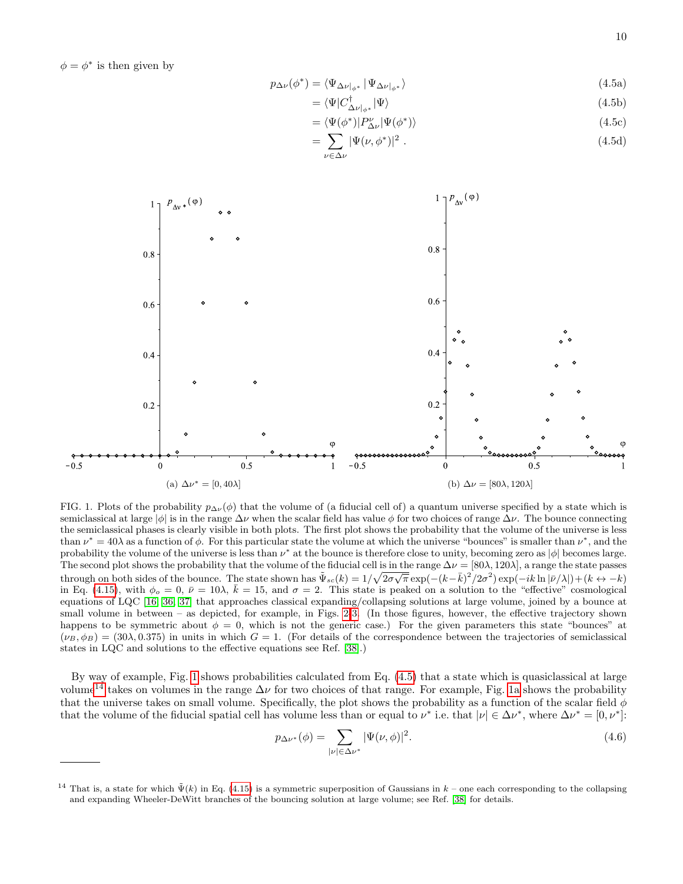$\phi = \phi^*$  is then given by

<span id="page-10-0"></span>
$$
p_{\Delta\nu}(\phi^*) = \langle \Psi_{\Delta\nu}|_{\phi^*} \, | \, \Psi_{\Delta\nu}|_{\phi^*} \rangle \tag{4.5a}
$$

$$
= \langle \Psi | C^{\dagger}_{\Delta \nu |_{\phi^*}} | \Psi \rangle \tag{4.5b}
$$

$$
= \langle \Psi(\phi^*) | P_{\Delta\nu}^{\nu} | \Psi(\phi^*) \rangle \tag{4.5c}
$$

$$
= \sum |\Psi(\nu, \phi^*)|^2. \tag{4.5d}
$$

$$
\sum_{\nu \in \Delta \nu}
$$

<span id="page-10-3"></span>

<span id="page-10-1"></span>FIG. 1. Plots of the probability  $p_{\Delta\nu}(\phi)$  that the volume of (a fiducial cell of) a quantum universe specified by a state which is semiclassical at large  $|\phi|$  is in the range  $\Delta \nu$  when the scalar field has value  $\phi$  for two choices of range  $\Delta \nu$ . The bounce connecting the semiclassical phases is clearly visible in both plots. The first plot shows the probability that the volume of the universe is less than  $\nu^* = 40\lambda$  as a function of  $\phi$ . For this particular state the volume at which the universe "bounces" is smaller than  $\nu^*$ , and the probability the volume of the universe is less than  $\nu^*$  at the bounce is therefore close to unity, becoming zero as  $|\phi|$  becomes large. The second plot shows the probability that the volume of the fiducial cell is in the range  $\Delta \nu = [80\lambda, 120\lambda]$ , a range the state passes through on both sides of the bounce. The state shown has  $\tilde{\Psi}_{sc}(k) = 1/\sqrt{2\sigma\sqrt{\pi}} \exp(-(k-k)^2/2\sigma^2) \exp(-ik \ln |\bar{\nu}/\lambda|) + (k \leftrightarrow -k)$ in Eq. [\(4.15\)](#page-15-0), with  $\phi_o = 0$ ,  $\bar{\nu} = 10\lambda$ ,  $\bar{k} = 15$ , and  $\sigma = 2$ . This state is peaked on a solution to the "effective" cosmological equations of LQC [\[16,](#page-21-7) [36,](#page-22-2) [37\]](#page-22-3) that approaches classical expanding/collapsing solutions at large volume, joined by a bounce at small volume in between – as depicted, for example, in Figs. [2-](#page-12-0)[3.](#page-15-1) (In those figures, however, the effective trajectory shown happens to be symmetric about  $\phi = 0$ , which is not the generic case.) For the given parameters this state "bounces" at  $(\nu_B, \phi_B) = (30\lambda, 0.375)$  in units in which  $G = 1$ . (For details of the correspondence between the trajectories of semiclassical states in LQC and solutions to the effective equations see Ref. [\[38\]](#page-22-4).)

By way of example, Fig. [1](#page-10-1) shows probabilities calculated from Eq. [\(4.5\)](#page-10-0) that a state which is quasiclassical at large volume<sup>[14](#page-10-2)</sup> takes on volumes in the range  $\Delta \nu$  for two choices of that range. For example, Fig. [1a](#page-10-3) shows the probability that the universe takes on small volume. Specifically, the plot shows the probability as a function of the scalar field  $\phi$ that the volume of the fiducial spatial cell has volume less than or equal to  $\nu^*$  i.e. that  $|\nu| \in \Delta \nu^*$ , where  $\Delta \nu^* = [0, \nu^*]$ :

$$
p_{\Delta \nu^*}(\phi) = \sum_{|\nu| \in \Delta \nu^*} |\Psi(\nu, \phi)|^2.
$$
 (4.6)

<span id="page-10-2"></span><sup>&</sup>lt;sup>14</sup> That is, a state for which  $\tilde{\Psi}(k)$  in Eq. [\(4.15\)](#page-15-0) is a symmetric superposition of Gaussians in  $k$  – one each corresponding to the collapsing and expanding Wheeler-DeWitt branches of the bouncing solution at large volume; see Ref. [\[38\]](#page-22-4) for details.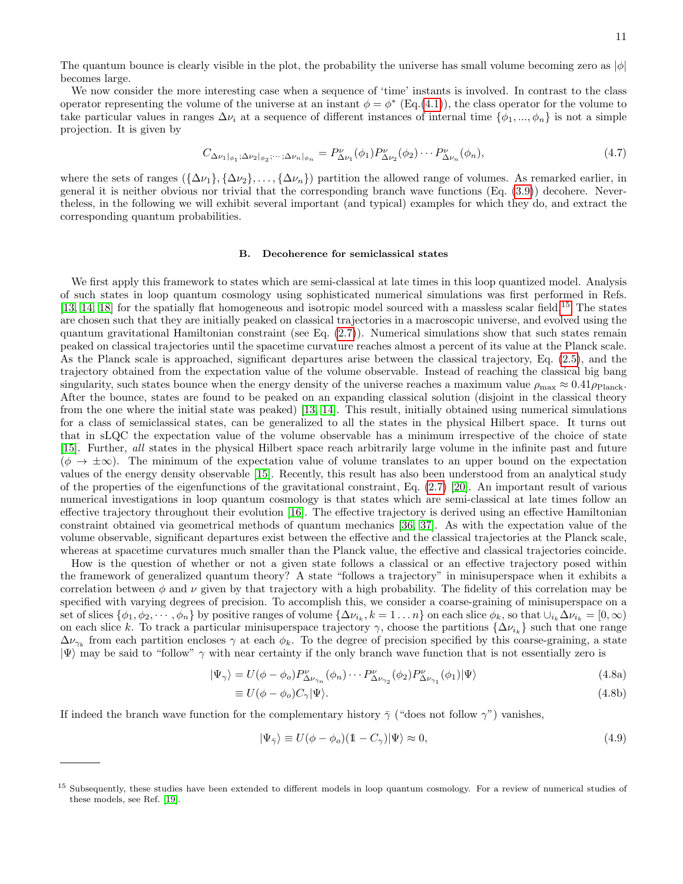11

The quantum bounce is clearly visible in the plot, the probability the universe has small volume becoming zero as  $|\phi|$ becomes large.

We now consider the more interesting case when a sequence of 'time' instants is involved. In contrast to the class operator representing the volume of the universe at an instant  $\phi = \phi^*$  (Eq.[\(4.1\)](#page-9-2)), the class operator for the volume to take particular values in ranges  $\Delta \nu_i$  at a sequence of different instances of internal time  $\{\phi_1, ..., \phi_n\}$  is not a simple projection. It is given by

$$
C_{\Delta\nu_1|_{\phi_1};\Delta\nu_2|_{\phi_2};\cdots;\Delta\nu_n|_{\phi_n}} = P^{\nu}_{\Delta\nu_1}(\phi_1)P^{\nu}_{\Delta\nu_2}(\phi_2)\cdots P^{\nu}_{\Delta\nu_n}(\phi_n),\tag{4.7}
$$

where the sets of ranges  $(\{\Delta \nu_1\}, {\{\Delta \nu_2\}, \ldots, {\{\Delta \nu_n\}}\})$  partition the allowed range of volumes. As remarked earlier, in general it is neither obvious nor trivial that the corresponding branch wave functions (Eq. [\(3.9\)](#page-7-5)) decohere. Nevertheless, in the following we will exhibit several important (and typical) examples for which they do, and extract the corresponding quantum probabilities.

### B. Decoherence for semiclassical states

We first apply this framework to states which are semi-classical at late times in this loop quantized model. Analysis of such states in loop quantum cosmology using sophisticated numerical simulations was first performed in Refs. [\[13,](#page-21-5) [14,](#page-21-8) [18\]](#page-21-9) for the spatially flat homogeneous and isotropic model sourced with a massless scalar field.[15](#page-11-0) The states are chosen such that they are initially peaked on classical trajectories in a macroscopic universe, and evolved using the quantum gravitational Hamiltonian constraint (see Eq.  $(2.7)$ ). Numerical simulations show that such states remain peaked on classical trajectories until the spacetime curvature reaches almost a percent of its value at the Planck scale. As the Planck scale is approached, significant departures arise between the classical trajectory, Eq. [\(2.5\)](#page-4-3), and the trajectory obtained from the expectation value of the volume observable. Instead of reaching the classical big bang singularity, such states bounce when the energy density of the universe reaches a maximum value  $\rho_{\text{max}} \approx 0.41 \rho_{\text{Planck}}$ . After the bounce, states are found to be peaked on an expanding classical solution (disjoint in the classical theory from the one where the initial state was peaked) [\[13,](#page-21-5) [14\]](#page-21-8). This result, initially obtained using numerical simulations for a class of semiclassical states, can be generalized to all the states in the physical Hilbert space. It turns out that in sLQC the expectation value of the volume observable has a minimum irrespective of the choice of state [\[15\]](#page-21-6). Further, all states in the physical Hilbert space reach arbitrarily large volume in the infinite past and future  $(\phi \rightarrow \pm \infty)$ . The minimum of the expectation value of volume translates to an upper bound on the expectation values of the energy density observable [\[15\]](#page-21-6). Recently, this result has also been understood from an analytical study of the properties of the eigenfunctions of the gravitational constraint, Eq.  $(2.7)$  [\[20\]](#page-21-10). An important result of various numerical investigations in loop quantum cosmology is that states which are semi-classical at late times follow an effective trajectory throughout their evolution [\[16\]](#page-21-7). The effective trajectory is derived using an effective Hamiltonian constraint obtained via geometrical methods of quantum mechanics [\[36,](#page-22-2) [37\]](#page-22-3). As with the expectation value of the volume observable, significant departures exist between the effective and the classical trajectories at the Planck scale, whereas at spacetime curvatures much smaller than the Planck value, the effective and classical trajectories coincide.

How is the question of whether or not a given state follows a classical or an effective trajectory posed within the framework of generalized quantum theory? A state "follows a trajectory" in minisuperspace when it exhibits a correlation between  $\phi$  and  $\nu$  given by that trajectory with a high probability. The fidelity of this correlation may be specified with varying degrees of precision. To accomplish this, we consider a coarse-graining of minisuperspace on a set of slices  $\{\phi_1, \phi_2, \cdots, \phi_n\}$  by positive ranges of volume  $\{\Delta \nu_{i_k}, k = 1 \ldots n\}$  on each slice  $\phi_k$ , so that  $\cup_{i_k} \Delta \nu_{i_k} = [0, \infty)$ on each slice k. To track a particular minisuperspace trajectory  $\gamma$ , choose the partitions  $\{\Delta\nu_{i_k}\}$  such that one range  $\Delta\nu_{\gamma_k}$  from each partition encloses  $\gamma$  at each  $\phi_k$ . To the degree of precision specified by this coarse-graining, a state  $|\Psi\rangle$  may be said to "follow"  $\gamma$  with near certainty if the only branch wave function that is not essentially zero is

<span id="page-11-1"></span>
$$
|\Psi_{\gamma}\rangle = U(\phi - \phi_o)P_{\Delta\nu_{\gamma_n}}^{\nu}(\phi_n)\cdots P_{\Delta\nu_{\gamma_2}}^{\nu}(\phi_2)P_{\Delta\nu_{\gamma_1}}^{\nu}(\phi_1)|\Psi\rangle
$$
\n(4.8a)

$$
\equiv U(\phi - \phi_o)C_\gamma |\Psi\rangle. \tag{4.8b}
$$

If indeed the branch wave function for the complementary history  $\bar{\gamma}$  ("does not follow  $\gamma$ ") vanishes,

$$
|\Psi_{\bar{\gamma}}\rangle \equiv U(\phi - \phi_o)(1 - C_{\gamma})|\Psi\rangle \approx 0, \tag{4.9}
$$

<span id="page-11-0"></span><sup>&</sup>lt;sup>15</sup> Subsequently, these studies have been extended to different models in loop quantum cosmology. For a review of numerical studies of these models, see Ref. [\[19\]](#page-21-12).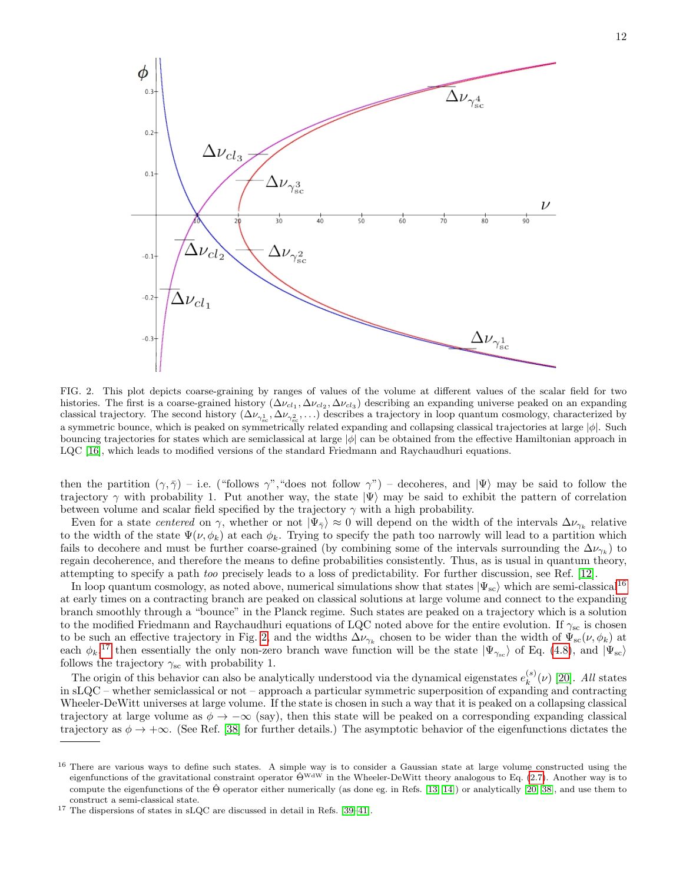

<span id="page-12-0"></span>FIG. 2. This plot depicts coarse-graining by ranges of values of the volume at different values of the scalar field for two histories. The first is a coarse-grained history  $(\Delta \nu_{cl_1}, \Delta \nu_{cl_2}, \Delta \nu_{cl_3})$  describing an expanding universe peaked on an expanding classical trajectory. The second history  $(\Delta\nu_{\gamma_{\rm sc}^1}, \Delta\nu_{\gamma_{\rm sc}^2}, ...)$  describes a trajectory in loop quantum cosmology, characterized by a symmetric bounce, which is peaked on symmetrically related expanding and collapsing classical trajectories at large |φ|. Such bouncing trajectories for states which are semiclassical at large  $|\phi|$  can be obtained from the effective Hamiltonian approach in LQC [\[16\]](#page-21-7), which leads to modified versions of the standard Friedmann and Raychaudhuri equations.

then the partition  $(\gamma, \overline{\gamma})$  – i.e. ("follows  $\gamma$ ", "does not follow  $\gamma$ ") – decoheres, and  $|\Psi\rangle$  may be said to follow the trajectory  $\gamma$  with probability 1. Put another way, the state  $|\Psi\rangle$  may be said to exhibit the pattern of correlation between volume and scalar field specified by the trajectory  $\gamma$  with a high probability.

Even for a state *centered* on  $\gamma$ , whether or not  $|\Psi_{\bar{\gamma}}\rangle \approx 0$  will depend on the width of the intervals  $\Delta\nu_{\gamma_k}$  relative to the width of the state  $\Psi(\nu, \phi_k)$  at each  $\phi_k$ . Trying to specify the path too narrowly will lead to a partition which fails to decohere and must be further coarse-grained (by combining some of the intervals surrounding the  $\Delta\nu_{\gamma_k}$ ) to regain decoherence, and therefore the means to define probabilities consistently. Thus, as is usual in quantum theory, attempting to specify a path too precisely leads to a loss of predictability. For further discussion, see Ref. [\[12\]](#page-21-4).

In loop quantum cosmology, as noted above, numerical simulations show that states  $|\Psi_{sc}\rangle$  which are semi-classical<sup>[16](#page-12-1)</sup> at early times on a contracting branch are peaked on classical solutions at large volume and connect to the expanding branch smoothly through a "bounce" in the Planck regime. Such states are peaked on a trajectory which is a solution to the modified Friedmann and Raychaudhuri equations of LQC noted above for the entire evolution. If  $\gamma_{\rm sc}$  is chosen to be such an effective trajectory in Fig. [2,](#page-12-0) and the widths  $\Delta\nu_{\gamma_k}$  chosen to be wider than the width of  $\Psi_{sc}(\nu,\phi_k)$  at each  $\phi_k$ ,<sup>[17](#page-12-2)</sup> then essentially the only non-zero branch wave function will be the state  $|\Psi_{\gamma_{sc}}\rangle$  of Eq. [\(4.8\)](#page-11-1), and  $|\Psi_{sc}\rangle$ follows the trajectory  $\gamma_{\rm sc}$  with probability 1.

The origin of this behavior can also be analytically understood via the dynamical eigenstates  $e_k^{(s)}$  $\binom{s}{k}(\nu)$  [\[20\]](#page-21-10). All states in sLQC – whether semiclassical or not – approach a particular symmetric superposition of expanding and contracting Wheeler-DeWitt universes at large volume. If the state is chosen in such a way that it is peaked on a collapsing classical trajectory at large volume as  $\phi \to -\infty$  (say), then this state will be peaked on a corresponding expanding classical trajectory as  $\phi \to +\infty$ . (See Ref. [\[38\]](#page-22-4) for further details.) The asymptotic behavior of the eigenfunctions dictates the

<span id="page-12-1"></span><sup>&</sup>lt;sup>16</sup> There are various ways to define such states. A simple way is to consider a Gaussian state at large volume constructed using the eigenfunctions of the gravitational constraint operator  $\hat{\Theta}^{WdW}$  in the Wheeler-DeWitt theory analogous to Eq. [\(2.7\)](#page-4-2). Another way is to compute the eigenfunctions of the  $\hat{\Theta}$  operator either numerically (as done eg. in Refs. [\[13,](#page-21-5) [14\]](#page-21-8)) or analytically [\[20,](#page-21-10) [38\]](#page-22-4), and use them to construct a semi-classical state.

<span id="page-12-2"></span><sup>&</sup>lt;sup>17</sup> The dispersions of states in sLQC are discussed in detail in Refs. [\[39](#page-22-5)-41].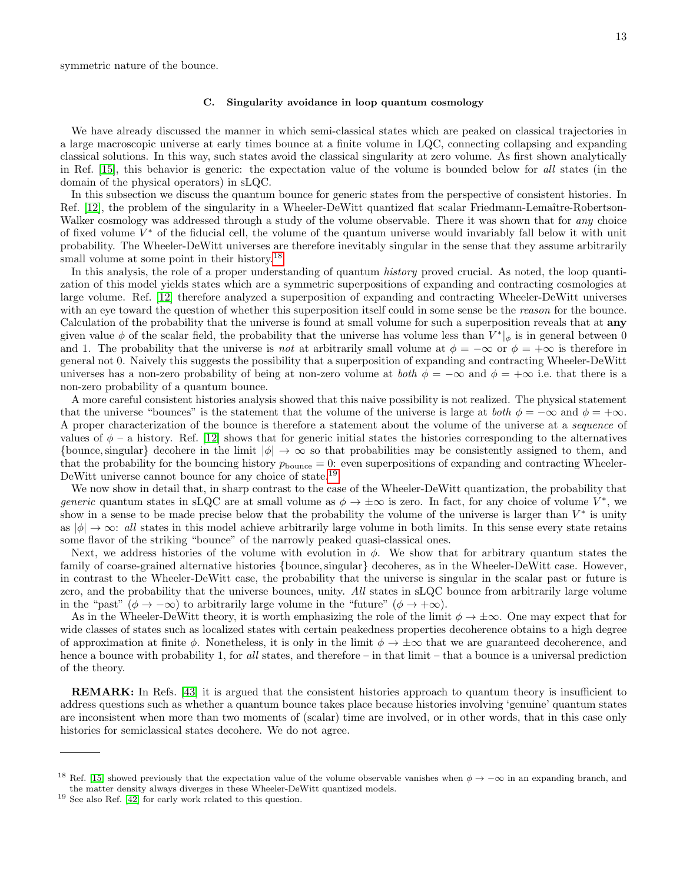symmetric nature of the bounce.

### <span id="page-13-2"></span>C. Singularity avoidance in loop quantum cosmology

We have already discussed the manner in which semi-classical states which are peaked on classical trajectories in a large macroscopic universe at early times bounce at a finite volume in LQC, connecting collapsing and expanding classical solutions. In this way, such states avoid the classical singularity at zero volume. As first shown analytically in Ref. [\[15\]](#page-21-6), this behavior is generic: the expectation value of the volume is bounded below for all states (in the domain of the physical operators) in sLQC.

In this subsection we discuss the quantum bounce for generic states from the perspective of consistent histories. In Ref. [\[12\]](#page-21-4), the problem of the singularity in a Wheeler-DeWitt quantized flat scalar Friedmann-Lemaître-Robertson-Walker cosmology was addressed through a study of the volume observable. There it was shown that for *any* choice of fixed volume  $V^*$  of the fiducial cell, the volume of the quantum universe would invariably fall below it with unit probability. The Wheeler-DeWitt universes are therefore inevitably singular in the sense that they assume arbitrarily small volume at some point in their history.<sup>[18](#page-13-0)</sup>

In this analysis, the role of a proper understanding of quantum *history* proved crucial. As noted, the loop quantization of this model yields states which are a symmetric superpositions of expanding and contracting cosmologies at large volume. Ref. [\[12\]](#page-21-4) therefore analyzed a superposition of expanding and contracting Wheeler-DeWitt universes with an eye toward the question of whether this superposition itself could in some sense be the *reason* for the bounce. Calculation of the probability that the universe is found at small volume for such a superposition reveals that at any given value  $\phi$  of the scalar field, the probability that the universe has volume less than  $\bar{V}^*|_{\phi}$  is in general between 0 and 1. The probability that the universe is not at arbitrarily small volume at  $\phi = -\infty$  or  $\phi = +\infty$  is therefore in general not 0. Naively this suggests the possibility that a superposition of expanding and contracting Wheeler-DeWitt universes has a non-zero probability of being at non-zero volume at both  $\phi = -\infty$  and  $\phi = +\infty$  i.e. that there is a non-zero probability of a quantum bounce.

A more careful consistent histories analysis showed that this naive possibility is not realized. The physical statement that the universe "bounces" is the statement that the volume of the universe is large at *both*  $\phi = -\infty$  and  $\phi = +\infty$ . A proper characterization of the bounce is therefore a statement about the volume of the universe at a sequence of values of  $\phi$  – a history. Ref. [\[12\]](#page-21-4) shows that for generic initial states the histories corresponding to the alternatives {bounce, singular} decohere in the limit  $|\phi| \to \infty$  so that probabilities may be consistently assigned to them, and that the probability for the bouncing history  $p_{\text{bounce}} = 0$ : even superpositions of expanding and contracting Wheeler-DeWitt universe cannot bounce for any choice of state.[19](#page-13-1)

We now show in detail that, in sharp contrast to the case of the Wheeler-DeWitt quantization, the probability that generic quantum states in sLQC are at small volume as  $\phi \to \pm \infty$  is zero. In fact, for any choice of volume  $V^*$ , we show in a sense to be made precise below that the probability the volume of the universe is larger than  $V^*$  is unity as  $|\phi| \to \infty$ : all states in this model achieve arbitrarily large volume in both limits. In this sense every state retains some flavor of the striking "bounce" of the narrowly peaked quasi-classical ones.

Next, we address histories of the volume with evolution in  $\phi$ . We show that for arbitrary quantum states the family of coarse-grained alternative histories {bounce, singular} decoheres, as in the Wheeler-DeWitt case. However, in contrast to the Wheeler-DeWitt case, the probability that the universe is singular in the scalar past or future is zero, and the probability that the universe bounces, unity. All states in sLQC bounce from arbitrarily large volume in the "past"  $(\phi \rightarrow -\infty)$  to arbitrarily large volume in the "future"  $(\phi \rightarrow +\infty)$ .

As in the Wheeler-DeWitt theory, it is worth emphasizing the role of the limit  $\phi \to \pm \infty$ . One may expect that for wide classes of states such as localized states with certain peakedness properties decoherence obtains to a high degree of approximation at finite  $\phi$ . Nonetheless, it is only in the limit  $\phi \to \pm \infty$  that we are guaranteed decoherence, and hence a bounce with probability 1, for all states, and therefore – in that limit – that a bounce is a universal prediction of the theory.

REMARK: In Refs. [\[43\]](#page-22-7) it is argued that the consistent histories approach to quantum theory is insufficient to address questions such as whether a quantum bounce takes place because histories involving 'genuine' quantum states are inconsistent when more than two moments of (scalar) time are involved, or in other words, that in this case only histories for semiclassical states decohere. We do not agree.

<span id="page-13-0"></span><sup>&</sup>lt;sup>18</sup> Ref. [\[15\]](#page-21-6) showed previously that the expectation value of the volume observable vanishes when  $\phi \rightarrow -\infty$  in an expanding branch, and the matter density always diverges in these Wheeler-DeWitt quantized models.

<span id="page-13-1"></span><sup>19</sup> See also Ref. [\[42\]](#page-22-8) for early work related to this question.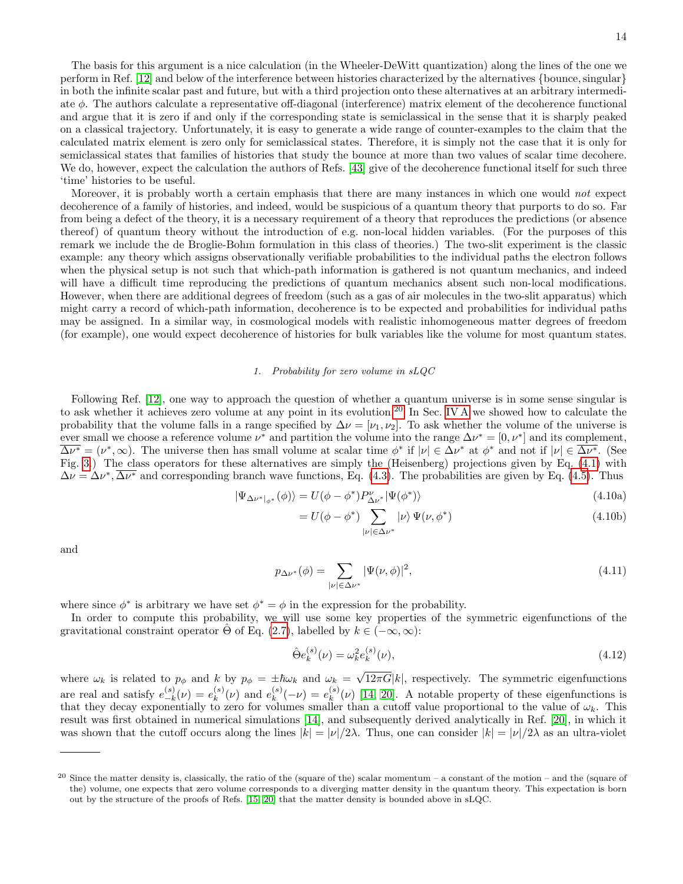The basis for this argument is a nice calculation (in the Wheeler-DeWitt quantization) along the lines of the one we perform in Ref. [\[12\]](#page-21-4) and below of the interference between histories characterized by the alternatives  $\{bounce, singular\}$ in both the infinite scalar past and future, but with a third projection onto these alternatives at an arbitrary intermediate φ. The authors calculate a representative off-diagonal (interference) matrix element of the decoherence functional and argue that it is zero if and only if the corresponding state is semiclassical in the sense that it is sharply peaked on a classical trajectory. Unfortunately, it is easy to generate a wide range of counter-examples to the claim that the calculated matrix element is zero only for semiclassical states. Therefore, it is simply not the case that it is only for semiclassical states that families of histories that study the bounce at more than two values of scalar time decohere. We do, however, expect the calculation the authors of Refs. [\[43\]](#page-22-7) give of the decoherence functional itself for such three 'time' histories to be useful.

Moreover, it is probably worth a certain emphasis that there are many instances in which one would not expect decoherence of a family of histories, and indeed, would be suspicious of a quantum theory that purports to do so. Far from being a defect of the theory, it is a necessary requirement of a theory that reproduces the predictions (or absence thereof) of quantum theory without the introduction of e.g. non-local hidden variables. (For the purposes of this remark we include the de Broglie-Bohm formulation in this class of theories.) The two-slit experiment is the classic example: any theory which assigns observationally verifiable probabilities to the individual paths the electron follows when the physical setup is not such that which-path information is gathered is not quantum mechanics, and indeed will have a difficult time reproducing the predictions of quantum mechanics absent such non-local modifications. However, when there are additional degrees of freedom (such as a gas of air molecules in the two-slit apparatus) which might carry a record of which-path information, decoherence is to be expected and probabilities for individual paths may be assigned. In a similar way, in cosmological models with realistic inhomogeneous matter degrees of freedom (for example), one would expect decoherence of histories for bulk variables like the volume for most quantum states.

### 1. Probability for zero volume in sLQC

Following Ref. [\[12\]](#page-21-4), one way to approach the question of whether a quantum universe is in some sense singular is to ask whether it achieves zero volume at any point in its evolution.<sup>[20](#page-14-0)</sup> In Sec. [IV A](#page-9-4) we showed how to calculate the probability that the volume falls in a range specified by  $\Delta \nu = [\nu_1, \nu_2]$ . To ask whether the volume of the universe is ever small we choose a reference volume  $\nu^*$  and partition the volume into the range  $\Delta \nu^* = [0, \nu^*]$  and its complement,  $\overline{\Delta \nu^*} = (\nu^*, \infty)$ . The universe then has small volume at scalar time  $\phi^*$  if  $|\nu| \in \Delta \nu^*$  at  $\phi^*$  and not if  $|\nu| \in \overline{\Delta \nu^*}$ . (See Fig. [3.](#page-15-1)) The class operators for these alternatives are simply the (Heisenberg) projections given by Eq. [\(4.1\)](#page-9-2) with  $\Delta \nu = \Delta \nu^*, \overline{\Delta \nu^*}$  and corresponding branch wave functions, Eq. [\(4.3\)](#page-9-5). The probabilities are given by Eq. [\(4.5\)](#page-10-0). Thus

<span id="page-14-1"></span>
$$
|\Psi_{\Delta\nu^*|_{\phi^*}}(\phi)\rangle = U(\phi - \phi^*)P_{\Delta\nu^*}^{\nu}|\Psi(\phi^*)\rangle
$$
\n(4.10a)

$$
= U(\phi - \phi^*) \sum_{|\nu| \in \Delta \nu^*} |\nu\rangle \Psi(\nu, \phi^*)
$$
\n(4.10b)

and

<span id="page-14-2"></span>
$$
p_{\Delta\nu^*}(\phi) = \sum_{|\nu| \in \Delta\nu^*} |\Psi(\nu,\phi)|^2,
$$
\n(4.11)

where since  $\phi^*$  is arbitrary we have set  $\phi^* = \phi$  in the expression for the probability.

In order to compute this probability, we will use some key properties of the symmetric eigenfunctions of the gravitational constraint operator  $\Theta$  of Eq. [\(2.7\)](#page-4-2), labelled by  $k \in (-\infty, \infty)$ :

$$
\hat{\Theta}e_k^{(s)}(\nu) = \omega_k^2 e_k^{(s)}(\nu),\tag{4.12}
$$

where  $\omega_k$  is related to  $p_{\phi}$  and k by  $p_{\phi} = \pm \hbar \omega_k$  and  $\omega_k = \sqrt{\frac{\hbar^2}{2m}}$  $12\pi G|k|$ , respectively. The symmetric eigenfunctions are real and satisfy  $e_{-k}^{(s)}$  $\binom{s}{-k}(\nu) = e_k^{(s)}$  $\binom{s}{k}(\nu)$  and  $e_k^{(s)}$  $k^{(s)}(-\nu) = e_k^{(s)}$  $\binom{s}{k}(\nu)$  [\[14,](#page-21-8) [20\]](#page-21-10). A notable property of these eigenfunctions is that they decay exponentially to zero for volumes smaller than a cutoff value proportional to the value of  $\omega_k$ . This result was first obtained in numerical simulations [\[14\]](#page-21-8), and subsequently derived analytically in Ref. [\[20\]](#page-21-10), in which it was shown that the cutoff occurs along the lines  $|k| = |\nu|/2\lambda$ . Thus, one can consider  $|k| = |\nu|/2\lambda$  as an ultra-violet

<span id="page-14-0"></span><sup>&</sup>lt;sup>20</sup> Since the matter density is, classically, the ratio of the (square of the) scalar momentum – a constant of the motion – and the (square of the) volume, one expects that zero volume corresponds to a diverging matter density in the quantum theory. This expectation is born out by the structure of the proofs of Refs. [\[15,](#page-21-6) [20\]](#page-21-10) that the matter density is bounded above in sLQC.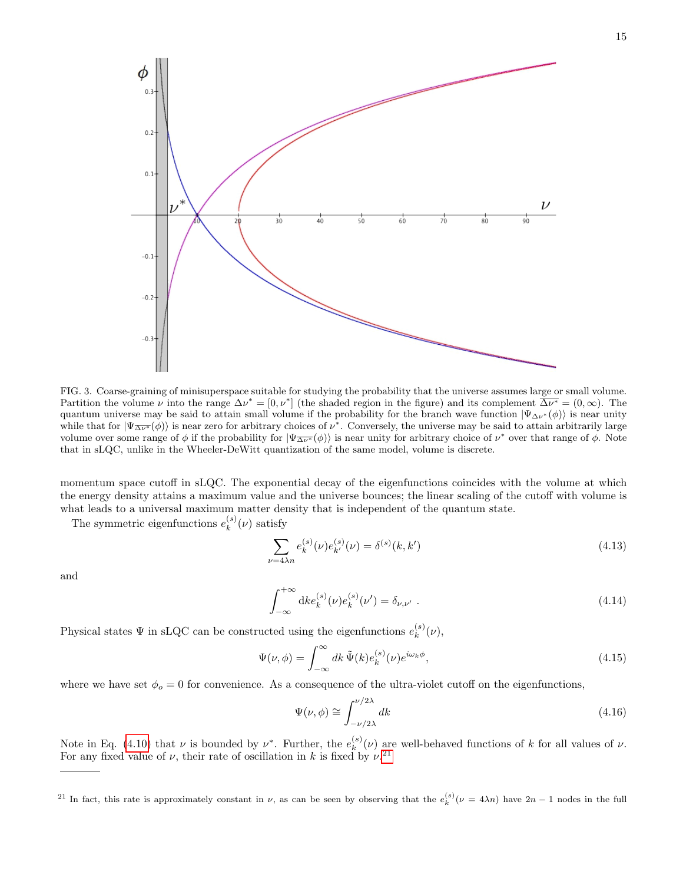

<span id="page-15-1"></span>FIG. 3. Coarse-graining of minisuperspace suitable for studying the probability that the universe assumes large or small volume. Partition the volume  $\nu$  into the range  $\Delta \nu^* = [0, \nu^*]$  (the shaded region in the figure) and its complement  $\overline{\Delta \nu^*} = (0, \infty)$ . The quantum universe may be said to attain small volume if the probability for the branch wave function  $|\Psi_{\Delta\nu^*}(\phi)\rangle$  is near unity while that for  $|\Psi_{\overline{\Delta \nu^*}}(\phi)\rangle$  is near zero for arbitrary choices of  $\nu^*$ . Conversely, the universe may be said to attain arbitrarily large volume over some range of  $\phi$  if the probability for  $|\Psi_{\overline{\Delta \nu^*}}(\phi)\rangle$  is near unity for arbitrary choice of  $\nu^*$  over that range of  $\phi$ . Note that in sLQC, unlike in the Wheeler-DeWitt quantization of the same model, volume is discrete.

momentum space cutoff in sLQC. The exponential decay of the eigenfunctions coincides with the volume at which the energy density attains a maximum value and the universe bounces; the linear scaling of the cutoff with volume is what leads to a universal maximum matter density that is independent of the quantum state.

The symmetric eigenfunctions  $e_k^{(s)}$  $\binom{s}{k}(\nu)$  satisfy

$$
\sum_{\nu=4\lambda n} e_k^{(s)}(\nu) e_{k'}^{(s)}(\nu) = \delta^{(s)}(k, k') \tag{4.13}
$$

and

$$
\int_{-\infty}^{+\infty} \mathrm{d}k e_k^{(s)}(\nu) e_k^{(s)}(\nu') = \delta_{\nu,\nu'} . \tag{4.14}
$$

Physical states  $\Psi$  in sLQC can be constructed using the eigenfunctions  $e_k^{(s)}$  $k^{(s)}(\nu),$ 

<span id="page-15-0"></span>
$$
\Psi(\nu,\phi) = \int_{-\infty}^{\infty} dk \, \tilde{\Psi}(k) e_k^{(s)}(\nu) e^{i\omega_k \phi}, \tag{4.15}
$$

where we have set  $\phi_o = 0$  for convenience. As a consequence of the ultra-violet cutoff on the eigenfunctions,

<span id="page-15-3"></span>
$$
\Psi(\nu,\phi) \cong \int_{-\nu/2\lambda}^{\nu/2\lambda} dk \tag{4.16}
$$

Note in Eq. [\(4.10\)](#page-14-1) that  $\nu$  is bounded by  $\nu^*$ . Further, the  $e_k^{(s)}$  $\binom{s}{k}(\nu)$  are well-behaved functions of k for all values of  $\nu$ . For any fixed value of  $\nu$ , their rate of oscillation in k is fixed by  $\nu^{21}$  $\nu^{21}$  $\nu^{21}$ .

<span id="page-15-2"></span><sup>&</sup>lt;sup>21</sup> In fact, this rate is approximately constant in  $\nu$ , as can be seen by observing that the  $e_k^{(s)}(\nu = 4\lambda n)$  have  $2n - 1$  nodes in the full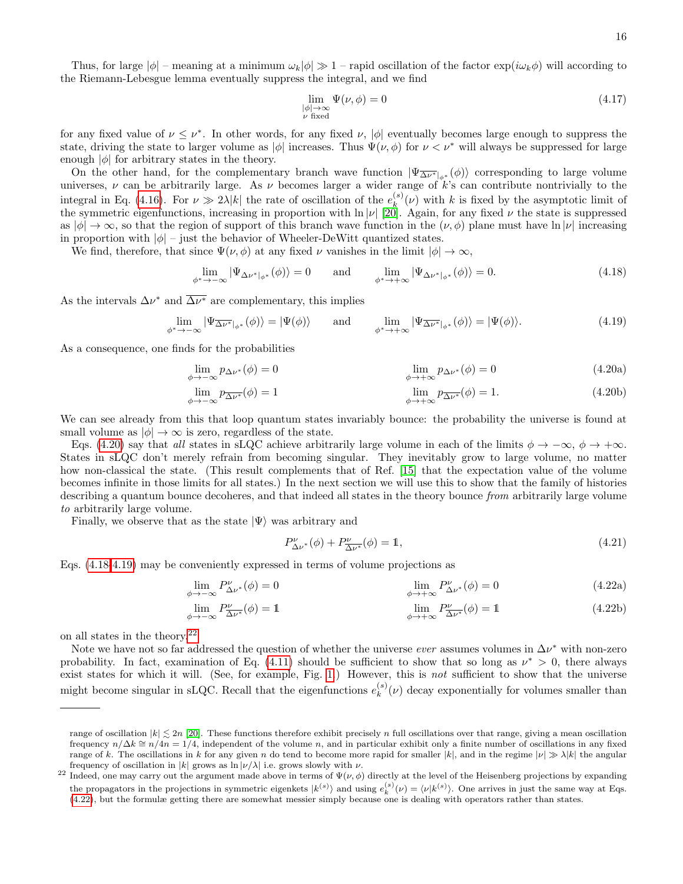$$
\lim_{\substack{|\phi| \to \infty \\ \nu \text{ fixed}}} \Psi(\nu, \phi) = 0 \tag{4.17}
$$

for any fixed value of  $\nu \leq \nu^*$ . In other words, for any fixed  $\nu$ ,  $|\phi|$  eventually becomes large enough to suppress the state, driving the state to larger volume as  $|\phi|$  increases. Thus  $\Psi(\nu, \phi)$  for  $\nu < \nu^*$  will always be suppressed for large enough  $|\phi|$  for arbitrary states in the theory.

On the other hand, for the complementary branch wave function  $|\Psi_{\overline{\Delta\nu^*}}|_{**}(\phi)\rangle$  corresponding to large volume universes,  $\nu$  can be arbitrarily large. As  $\nu$  becomes larger a wider range of  $k$ 's can contribute nontrivially to the integral in Eq. [\(4.16\)](#page-15-3). For  $\nu \gg 2\lambda |k|$  the rate of oscillation of the  $e_k^{(s)}$  $\binom{s}{k}(\nu)$  with k is fixed by the asymptotic limit of the symmetric eigenfunctions, increasing in proportion with  $\ln |\nu|$  [\[20\]](#page-21-10). Again, for any fixed  $\nu$  the state is suppressed as  $|\phi| \to \infty$ , so that the region of support of this branch wave function in the  $(\nu, \phi)$  plane must have  $\ln |\nu|$  increasing in proportion with  $|\phi|$  – just the behavior of Wheeler-DeWitt quantized states.

We find, therefore, that since  $\Psi(\nu, \phi)$  at any fixed  $\nu$  vanishes in the limit  $|\phi| \to \infty$ ,

<span id="page-16-1"></span>
$$
\lim_{\phi^* \to -\infty} |\Psi_{\Delta \nu^*|_{\phi^*}}(\phi)\rangle = 0 \quad \text{and} \quad \lim_{\phi^* \to +\infty} |\Psi_{\Delta \nu^*|_{\phi^*}}(\phi)\rangle = 0. \tag{4.18}
$$

As the intervals  $\Delta \nu^*$  and  $\overline{\Delta \nu^*}$  are complementary, this implies

<span id="page-16-2"></span>
$$
\lim_{\phi^* \to -\infty} |\Psi \overline{\Delta \nu^*}|_{\phi^*} (\phi) \rangle = |\Psi(\phi) \rangle \quad \text{and} \quad \lim_{\phi^* \to +\infty} |\Psi \overline{\Delta \nu^*}|_{\phi^*} (\phi) \rangle = |\Psi(\phi) \rangle. \tag{4.19}
$$

As a consequence, one finds for the probabilities

$$
\lim_{\phi \to -\infty} p_{\Delta \nu^*}(\phi) = 0 \qquad \qquad \lim_{\phi \to +\infty} p_{\Delta \nu^*}(\phi) = 0 \qquad (4.20a)
$$

$$
\lim_{\phi \to -\infty} p_{\overline{\Delta \nu^*}}(\phi) = 1
$$
\n
$$
\lim_{\phi \to +\infty} p_{\overline{\Delta \nu^*}}(\phi) = 1.
$$
\n(4.20b)

We can see already from this that loop quantum states invariably bounce: the probability the universe is found at small volume as  $|\phi| \to \infty$  is zero, regardless of the state.

Eqs. [\(4.20\)](#page-16-0) say that all states in sLQC achieve arbitrarily large volume in each of the limits  $\phi \to -\infty$ ,  $\phi \to +\infty$ . States in sLQC don't merely refrain from becoming singular. They inevitably grow to large volume, no matter how non-classical the state. (This result complements that of Ref. [\[15\]](#page-21-6) that the expectation value of the volume becomes infinite in those limits for all states.) In the next section we will use this to show that the family of histories describing a quantum bounce decoheres, and that indeed all states in the theory bounce *from* arbitrarily large volume to arbitrarily large volume.

Finally, we observe that as the state  $|\Psi\rangle$  was arbitrary and

<span id="page-16-4"></span><span id="page-16-0"></span>
$$
P_{\Delta \nu^*}^{\nu}(\phi) + P_{\overline{\Delta \nu^*}}^{\nu}(\phi) = 1, \tag{4.21}
$$

Eqs. [\(4.18-](#page-16-1)[4.19\)](#page-16-2) may be conveniently expressed in terms of volume projections as

$$
\lim_{\phi \to -\infty} P_{\Delta \nu^*}^{\nu}(\phi) = 0 \qquad \qquad \lim_{\phi \to +\infty} P_{\Delta \nu^*}^{\nu}(\phi) = 0 \qquad (4.22a)
$$

$$
\lim_{\phi \to -\infty} P^{\nu}_{\overline{\Delta \nu^*}}(\phi) = 1 \tag{4.22b}
$$

on all states in the theory.[22](#page-16-3)

Note we have not so far addressed the question of whether the universe *ever* assumes volumes in  $\Delta \nu^*$  with non-zero probability. In fact, examination of Eq. [\(4.11\)](#page-14-2) should be sufficient to show that so long as  $\nu^* > 0$ , there always exist states for which it will. (See, for example, Fig. [1.](#page-10-1)) However, this is not sufficient to show that the universe might become singular in sLQC. Recall that the eigenfunctions  $e_k^{(s)}$  $\binom{s}{k}(\nu)$  decay exponentially for volumes smaller than

range of oscillation  $|k| \leq 2n$  [\[20\]](#page-21-10). These functions therefore exhibit precisely n full oscillations over that range, giving a mean oscillation frequency  $n/\Delta k \cong n/4n = 1/4$ , independent of the volume n, and in particular exhibit only a finite number of oscillations in any fixed range of k. The oscillations in k for any given n do tend to become more rapid for smaller  $|k|$ , and in the regime  $|\nu| \gg \lambda |k|$  the angular frequency of oscillation in |k| grows as  $\ln |\nu/\lambda|$  i.e. grows slowly with  $\nu$ .

<span id="page-16-3"></span><sup>&</sup>lt;sup>22</sup> Indeed, one may carry out the argument made above in terms of  $\Psi(\nu, \phi)$  directly at the level of the Heisenberg projections by expanding the propagators in the projections in symmetric eigenkets  $|k^{(s)}\rangle$  and using  $e_k^{(s)}(\nu) = \langle \nu | k^{(s)} \rangle$ . One arrives in just the same way at Eqs. [\(4.22\)](#page-16-4), but the formulæ getting there are somewhat messier simply because one is dealing with operators rather than states.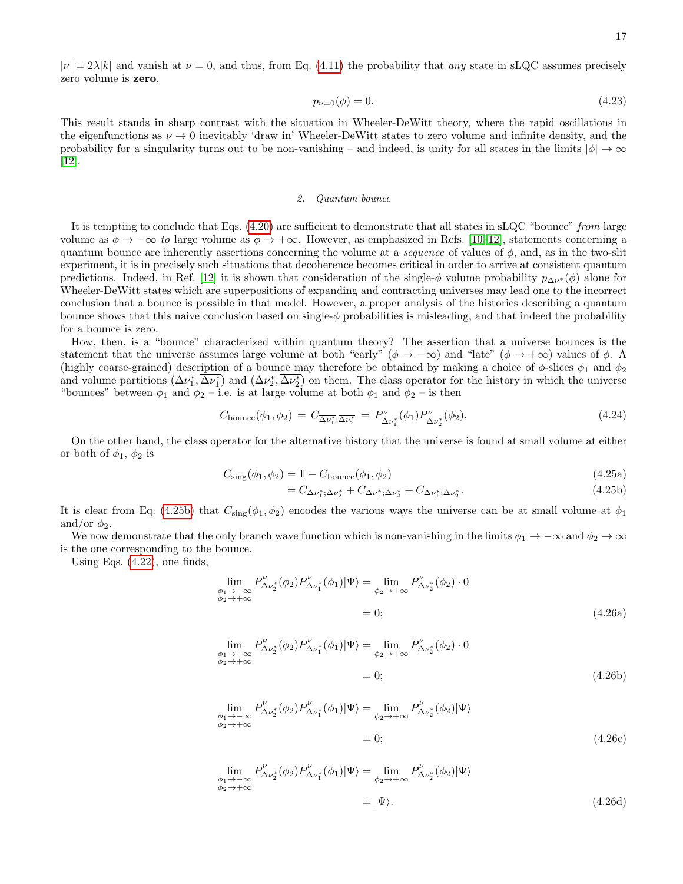$|\nu| = 2\lambda |k|$  and vanish at  $\nu = 0$ , and thus, from Eq. [\(4.11\)](#page-14-2) the probability that any state in sLQC assumes precisely zero volume is zero,

$$
p_{\nu=0}(\phi) = 0.\t\t(4.23)
$$

This result stands in sharp contrast with the situation in Wheeler-DeWitt theory, where the rapid oscillations in the eigenfunctions as  $\nu \to 0$  inevitably 'draw in' Wheeler-DeWitt states to zero volume and infinite density, and the probability for a singularity turns out to be non-vanishing – and indeed, is unity for all states in the limits  $|\phi| \to \infty$ [\[12\]](#page-21-4).

### 2. Quantum bounce

It is tempting to conclude that Eqs. [\(4.20\)](#page-16-0) are sufficient to demonstrate that all states in sLQC "bounce" from large volume as  $\phi \to -\infty$  to large volume as  $\phi \to +\infty$ . However, as emphasized in Refs. [\[10–](#page-21-3)[12\]](#page-21-4), statements concerning a quantum bounce are inherently assertions concerning the volume at a *sequence* of values of  $\phi$ , and, as in the two-slit experiment, it is in precisely such situations that decoherence becomes critical in order to arrive at consistent quantum predictions. Indeed, in Ref. [\[12\]](#page-21-4) it is shown that consideration of the single- $\phi$  volume probability  $p_{\Delta\nu}*(\phi)$  alone for Wheeler-DeWitt states which are superpositions of expanding and contracting universes may lead one to the incorrect conclusion that a bounce is possible in that model. However, a proper analysis of the histories describing a quantum bounce shows that this naive conclusion based on single- $\phi$  probabilities is misleading, and that indeed the probability for a bounce is zero.

How, then, is a "bounce" characterized within quantum theory? The assertion that a universe bounces is the statement that the universe assumes large volume at both "early" ( $\phi \to -\infty$ ) and "late" ( $\phi \to +\infty$ ) values of  $\phi$ . A (highly coarse-grained) description of a bounce may therefore be obtained by making a choice of  $\phi$ -slices  $\phi_1$  and  $\phi_2$ and volume partitions  $(\Delta \nu_1^*, \overline{\Delta \nu_1^*})$  and  $(\Delta \nu_2^*, \overline{\Delta \nu_2^*})$  on them. The class operator for the history in which the universe "bounces" between  $\phi_1$  and  $\phi_2$  – i.e. is at large volume at both  $\phi_1$  and  $\phi_2$  – is then

$$
C_{\text{bounce}}(\phi_1, \phi_2) = C_{\overline{\Delta \nu_1^*}; \overline{\Delta \nu_2^*}} = P_{\overline{\Delta \nu_1^*}}^{\nu}(\phi_1) P_{\overline{\Delta \nu_2^*}}^{\nu}(\phi_2). \tag{4.24}
$$

On the other hand, the class operator for the alternative history that the universe is found at small volume at either or both of  $\phi_1$ ,  $\phi_2$  is

<span id="page-17-0"></span>
$$
C_{\text{sing}}(\phi_1, \phi_2) = 1 - C_{\text{bounce}}(\phi_1, \phi_2) \tag{4.25a}
$$

$$
=C_{\Delta\nu_1^*;\Delta\nu_2^*}+C_{\Delta\nu_1^*;\overline{\Delta\nu_2^*}}+C_{\overline{\Delta\nu_1^*};\Delta\nu_2^*}.
$$
\n(4.25b)

It is clear from Eq. [\(4.25b\)](#page-17-0) that  $C_{\text{sing}}(\phi_1, \phi_2)$  encodes the various ways the universe can be at small volume at  $\phi_1$ and/or  $\phi_2$ .

We now demonstrate that the only branch wave function which is non-vanishing in the limits  $\phi_1 \to -\infty$  and  $\phi_2 \to \infty$ is the one corresponding to the bounce.

Using Eqs. [\(4.22\)](#page-16-4), one finds,

<span id="page-17-1"></span>
$$
\lim_{\substack{\phi_1 \to -\infty \\ \phi_2 \to +\infty}} P_{\Delta \nu_2^*}^{\nu}(\phi_2) P_{\Delta \nu_1^*}^{\nu}(\phi_1) |\Psi\rangle = \lim_{\phi_2 \to +\infty} P_{\Delta \nu_2^*}^{\nu}(\phi_2) \cdot 0
$$
\n
$$
= 0; \tag{4.26a}
$$

$$
\lim_{\substack{\phi_1 \to -\infty \\ \phi_2 \to +\infty}} P_{\Delta \nu_2^*}^{\nu}(\phi_2) P_{\Delta \nu_1^*}^{\nu}(\phi_1) |\Psi\rangle = \lim_{\phi_2 \to +\infty} P_{\Delta \nu_2^*}^{\nu}(\phi_2) \cdot 0
$$
\n
$$
= 0; \tag{4.26b}
$$

$$
\lim_{\substack{\phi_1 \to -\infty \\ \phi_2 \to +\infty}} P_{\Delta \nu_2^*}^{\nu}(\phi_2) P_{\Delta \nu_1^*}^{\nu}(\phi_1) |\Psi\rangle = \lim_{\phi_2 \to +\infty} P_{\Delta \nu_2^*}^{\nu}(\phi_2) |\Psi\rangle
$$
\n
$$
= 0; \tag{4.26c}
$$

$$
\lim_{\substack{\phi_1 \to -\infty \\ \phi_2 \to +\infty}} P_{\Delta \nu_2^*}^{\nu}(\phi_2) P_{\Delta \nu_1^*}^{\nu}(\phi_1) |\Psi\rangle = \lim_{\phi_2 \to +\infty} P_{\Delta \nu_2^*}^{\nu}(\phi_2) |\Psi\rangle
$$
\n
$$
= |\Psi\rangle.
$$
\n(4.26d)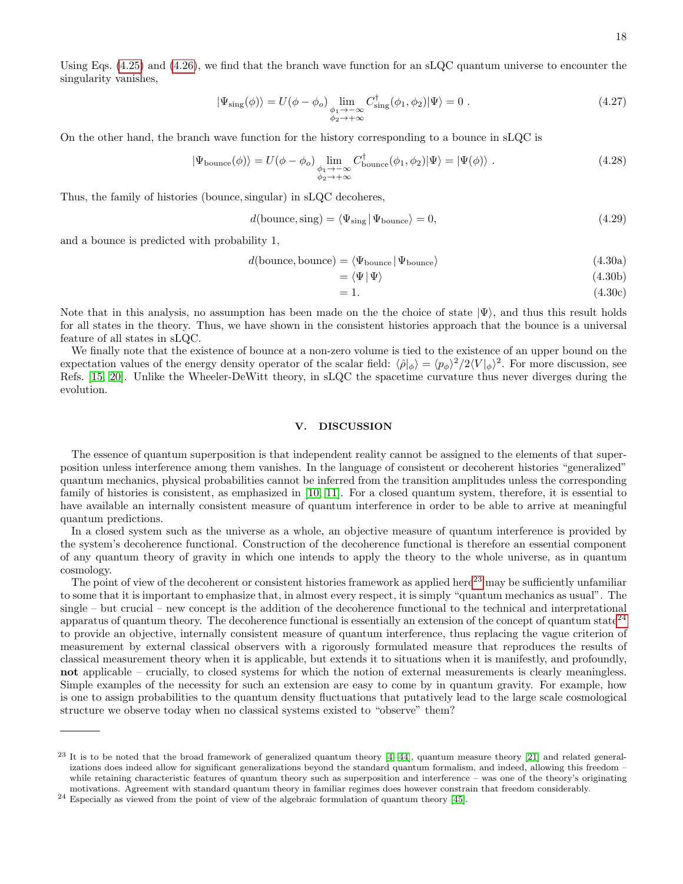Using Eqs. [\(4.25\)](#page-17-0) and [\(4.26\)](#page-17-1), we find that the branch wave function for an sLQC quantum universe to encounter the singularity vanishes,

$$
|\Psi_{\text{sing}}(\phi)\rangle = U(\phi - \phi_o) \lim_{\substack{\phi_1 \to -\infty \\ \phi_2 \to +\infty}} C_{\text{sing}}^\dagger(\phi_1, \phi_2) |\Psi\rangle = 0.
$$
 (4.27)

On the other hand, the branch wave function for the history corresponding to a bounce in sLQC is

$$
|\Psi_{\text{bounce}}(\phi)\rangle = U(\phi - \phi_o) \lim_{\substack{\phi_1 \to -\infty \\ \phi_2 \to +\infty}} C_{\text{bounce}}^{\dagger}(\phi_1, \phi_2) |\Psi\rangle = |\Psi(\phi)\rangle . \tag{4.28}
$$

Thus, the family of histories (bounce, singular) in sLQC decoheres,

$$
d(\text{bounce}, \text{sing}) = \langle \Psi_{\text{sing}} | \Psi_{\text{bounce}} \rangle = 0, \tag{4.29}
$$

and a bounce is predicted with probability 1,

$$
d(\text{bounce}, \text{bounce}) = \langle \Psi_{\text{bounce}} | \Psi_{\text{bounce}} \rangle \tag{4.30a}
$$

$$
= \langle \Psi | \Psi \rangle \tag{4.30b}
$$

$$
= 1. \tag{4.30c}
$$

Note that in this analysis, no assumption has been made on the the choice of state  $|\Psi\rangle$ , and thus this result holds for all states in the theory. Thus, we have shown in the consistent histories approach that the bounce is a universal feature of all states in sLQC.

We finally note that the existence of bounce at a non-zero volume is tied to the existence of an upper bound on the expectation values of the energy density operator of the scalar field:  $\langle \hat{\rho} |_{\phi} \rangle = \langle p_{\phi} \rangle^2 / 2 \langle V |_{\phi} \rangle^2$ . For more discussion, see Refs. [\[15,](#page-21-6) [20\]](#page-21-10). Unlike the Wheeler-DeWitt theory, in sLQC the spacetime curvature thus never diverges during the evolution.

### <span id="page-18-0"></span>V. DISCUSSION

The essence of quantum superposition is that independent reality cannot be assigned to the elements of that superposition unless interference among them vanishes. In the language of consistent or decoherent histories "generalized" quantum mechanics, physical probabilities cannot be inferred from the transition amplitudes unless the corresponding family of histories is consistent, as emphasized in [\[10,](#page-21-3) [11\]](#page-21-28). For a closed quantum system, therefore, it is essential to have available an internally consistent measure of quantum interference in order to be able to arrive at meaningful quantum predictions.

In a closed system such as the universe as a whole, an objective measure of quantum interference is provided by the system's decoherence functional. Construction of the decoherence functional is therefore an essential component of any quantum theory of gravity in which one intends to apply the theory to the whole universe, as in quantum cosmology.

The point of view of the decoherent or consistent histories framework as applied here<sup>[23](#page-18-1)</sup> may be sufficiently unfamiliar to some that it is important to emphasize that, in almost every respect, it is simply "quantum mechanics as usual". The single – but crucial – new concept is the addition of the decoherence functional to the technical and interpretational apparatus of quantum theory. The decoherence functional is essentially an extension of the concept of quantum state $^{24}$  $^{24}$  $^{24}$ to provide an objective, internally consistent measure of quantum interference, thus replacing the vague criterion of measurement by external classical observers with a rigorously formulated measure that reproduces the results of classical measurement theory when it is applicable, but extends it to situations when it is manifestly, and profoundly, not applicable – crucially, to closed systems for which the notion of external measurements is clearly meaningless. Simple examples of the necessity for such an extension are easy to come by in quantum gravity. For example, how is one to assign probabilities to the quantum density fluctuations that putatively lead to the large scale cosmological structure we observe today when no classical systems existed to "observe" them?

<span id="page-18-1"></span> $^{23}$  It is to be noted that the broad framework of generalized quantum theory [\[4,](#page-20-5) [44\]](#page-22-9), quantum measure theory [\[21\]](#page-21-13) and related generalizations does indeed allow for significant generalizations beyond the standard quantum formalism, and indeed, allowing this freedom – while retaining characteristic features of quantum theory such as superposition and interference – was one of the theory's originating motivations. Agreement with standard quantum theory in familiar regimes does however constrain that freedom considerably.

<span id="page-18-2"></span> $24$  Especially as viewed from the point of view of the algebraic formulation of quantum theory [\[45\]](#page-22-10).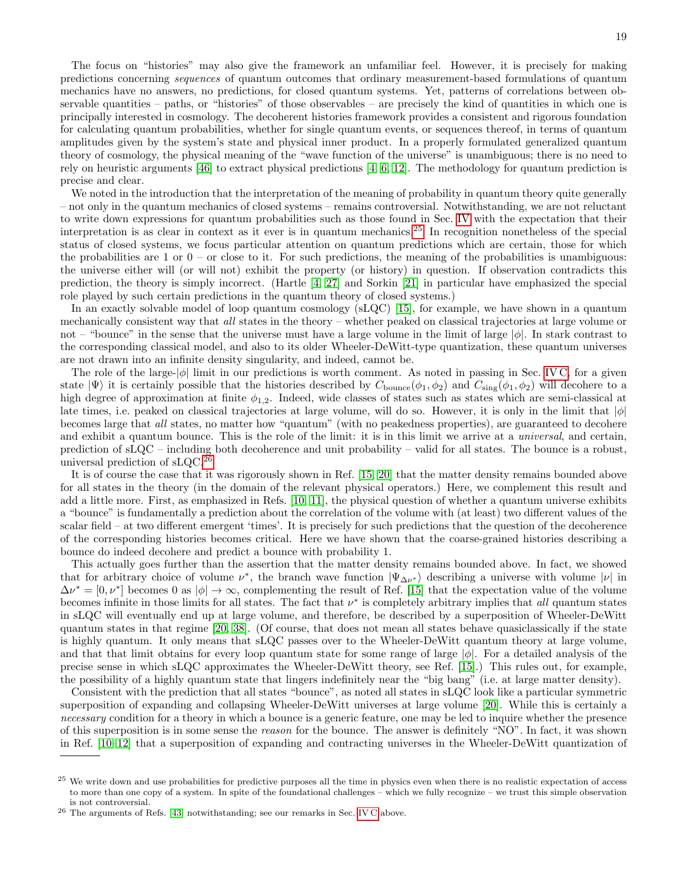The focus on "histories" may also give the framework an unfamiliar feel. However, it is precisely for making predictions concerning sequences of quantum outcomes that ordinary measurement-based formulations of quantum mechanics have no answers, no predictions, for closed quantum systems. Yet, patterns of correlations between observable quantities – paths, or "histories" of those observables – are precisely the kind of quantities in which one is principally interested in cosmology. The decoherent histories framework provides a consistent and rigorous foundation for calculating quantum probabilities, whether for single quantum events, or sequences thereof, in terms of quantum amplitudes given by the system's state and physical inner product. In a properly formulated generalized quantum theory of cosmology, the physical meaning of the "wave function of the universe" is unambiguous; there is no need to rely on heuristic arguments [\[46\]](#page-22-11) to extract physical predictions [\[4,](#page-20-5) [6,](#page-21-24) [12\]](#page-21-4). The methodology for quantum prediction is precise and clear.

We noted in the introduction that the interpretation of the meaning of probability in quantum theory quite generally – not only in the quantum mechanics of closed systems – remains controversial. Notwithstanding, we are not reluctant to write down expressions for quantum probabilities such as those found in Sec. [IV](#page-9-0) with the expectation that their interpretation is as clear in context as it ever is in quantum mechanics.<sup>[25](#page-19-0)</sup> In recognition nonetheless of the special status of closed systems, we focus particular attention on quantum predictions which are certain, those for which the probabilities are  $1$  or  $0$  – or close to it. For such predictions, the meaning of the probabilities is unambiguous: the universe either will (or will not) exhibit the property (or history) in question. If observation contradicts this prediction, the theory is simply incorrect. (Hartle [\[4,](#page-20-5) [27\]](#page-21-19) and Sorkin [\[21\]](#page-21-13) in particular have emphasized the special role played by such certain predictions in the quantum theory of closed systems.)

In an exactly solvable model of loop quantum cosmology (sLQC) [\[15\]](#page-21-6), for example, we have shown in a quantum mechanically consistent way that all states in the theory – whether peaked on classical trajectories at large volume or not – "bounce" in the sense that the universe must have a large volume in the limit of large  $|\phi|$ . In stark contrast to the corresponding classical model, and also to its older Wheeler-DeWitt-type quantization, these quantum universes are not drawn into an infinite density singularity, and indeed, cannot be.

The role of the large- $|\phi|$  limit in our predictions is worth comment. As noted in passing in Sec. [IV C,](#page-13-2) for a given state  $|\Psi\rangle$  it is certainly possible that the histories described by  $C_{\text{bounce}}(\phi_1, \phi_2)$  and  $C_{\text{sing}}(\phi_1, \phi_2)$  will decohere to a high degree of approximation at finite  $\phi_{1,2}$ . Indeed, wide classes of states such as states which are semi-classical at late times, i.e. peaked on classical trajectories at large volume, will do so. However, it is only in the limit that  $|\phi|$ becomes large that all states, no matter how "quantum" (with no peakedness properties), are guaranteed to decohere and exhibit a quantum bounce. This is the role of the limit: it is in this limit we arrive at a *universal*, and certain, prediction of sLQC – including both decoherence and unit probability – valid for all states. The bounce is a robust, universal prediction of sLQC.[26](#page-19-1)

It is of course the case that it was rigorously shown in Ref. [\[15,](#page-21-6) [20\]](#page-21-10) that the matter density remains bounded above for all states in the theory (in the domain of the relevant physical operators.) Here, we complement this result and add a little more. First, as emphasized in Refs. [\[10,](#page-21-3) [11\]](#page-21-28), the physical question of whether a quantum universe exhibits a "bounce" is fundamentally a prediction about the correlation of the volume with (at least) two different values of the scalar field – at two different emergent 'times'. It is precisely for such predictions that the question of the decoherence of the corresponding histories becomes critical. Here we have shown that the coarse-grained histories describing a bounce do indeed decohere and predict a bounce with probability 1.

This actually goes further than the assertion that the matter density remains bounded above. In fact, we showed that for arbitrary choice of volume  $\nu^*$ , the branch wave function  $|\Psi_{\Delta\nu^*}\rangle$  describing a universe with volume  $|\nu|$  in  $\Delta \nu^* = [0, \nu^*]$  becomes 0 as  $|\phi| \to \infty$ , complementing the result of Ref. [\[15\]](#page-21-6) that the expectation value of the volume becomes infinite in those limits for all states. The fact that  $\nu^*$  is completely arbitrary implies that all quantum states in sLQC will eventually end up at large volume, and therefore, be described by a superposition of Wheeler-DeWitt quantum states in that regime [\[20,](#page-21-10) [38\]](#page-22-4). (Of course, that does not mean all states behave quasiclassically if the state is highly quantum. It only means that sLQC passes over to the Wheeler-DeWitt quantum theory at large volume, and that that limit obtains for every loop quantum state for some range of large  $|\phi|$ . For a detailed analysis of the precise sense in which sLQC approximates the Wheeler-DeWitt theory, see Ref. [\[15\]](#page-21-6).) This rules out, for example, the possibility of a highly quantum state that lingers indefinitely near the "big bang" (i.e. at large matter density).

Consistent with the prediction that all states "bounce", as noted all states in sLQC look like a particular symmetric superposition of expanding and collapsing Wheeler-DeWitt universes at large volume [\[20\]](#page-21-10). While this is certainly a necessary condition for a theory in which a bounce is a generic feature, one may be led to inquire whether the presence of this superposition is in some sense the reason for the bounce. The answer is definitely "NO". In fact, it was shown in Ref. [\[10](#page-21-3)[–12\]](#page-21-4) that a superposition of expanding and contracting universes in the Wheeler-DeWitt quantization of

<span id="page-19-0"></span><sup>&</sup>lt;sup>25</sup> We write down and use probabilities for predictive purposes all the time in physics even when there is no realistic expectation of access to more than one copy of a system. In spite of the foundational challenges – which we fully recognize – we trust this simple observation is not controversial.

<span id="page-19-1"></span><sup>26</sup> The arguments of Refs. [\[43\]](#page-22-7) notwithstanding; see our remarks in Sec. [IV C](#page-13-2) above.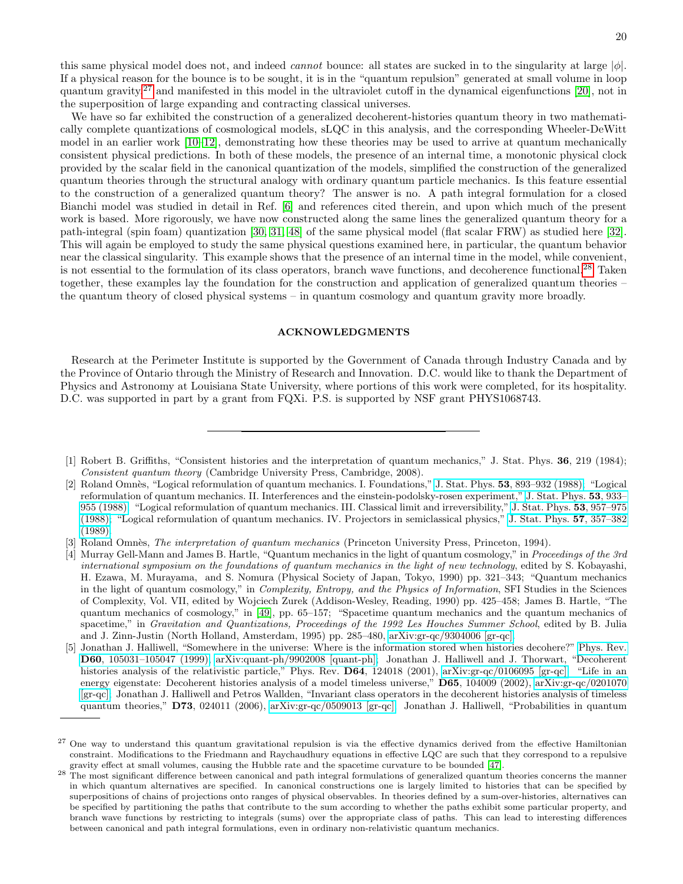this same physical model does not, and indeed *cannot* bounce: all states are sucked in to the singularity at large  $|\phi|$ . If a physical reason for the bounce is to be sought, it is in the "quantum repulsion" generated at small volume in loop quantum gravity,[27](#page-20-9) and manifested in this model in the ultraviolet cutoff in the dynamical eigenfunctions [\[20\]](#page-21-10), not in the superposition of large expanding and contracting classical universes.

We have so far exhibited the construction of a generalized decoherent-histories quantum theory in two mathematically complete quantizations of cosmological models, sLQC in this analysis, and the corresponding Wheeler-DeWitt model in an earlier work [\[10–](#page-21-3)[12\]](#page-21-4), demonstrating how these theories may be used to arrive at quantum mechanically consistent physical predictions. In both of these models, the presence of an internal time, a monotonic physical clock provided by the scalar field in the canonical quantization of the models, simplified the construction of the generalized quantum theories through the structural analogy with ordinary quantum particle mechanics. Is this feature essential to the construction of a generalized quantum theory? The answer is no. A path integral formulation for a closed Bianchi model was studied in detail in Ref. [\[6\]](#page-21-24) and references cited therein, and upon which much of the present work is based. More rigorously, we have now constructed along the same lines the generalized quantum theory for a path-integral (spin foam) quantization [\[30,](#page-21-22) [31,](#page-21-23) [48\]](#page-22-12) of the same physical model (flat scalar FRW) as studied here [\[32\]](#page-21-25). This will again be employed to study the same physical questions examined here, in particular, the quantum behavior near the classical singularity. This example shows that the presence of an internal time in the model, while convenient, is not essential to the formulation of its class operators, branch wave functions, and decoherence functional.<sup>[28](#page-20-10)</sup> Taken together, these examples lay the foundation for the construction and application of generalized quantum theories – the quantum theory of closed physical systems – in quantum cosmology and quantum gravity more broadly.

### <span id="page-20-5"></span>ACKNOWLEDGMENTS

Research at the Perimeter Institute is supported by the Government of Canada through Industry Canada and by the Province of Ontario through the Ministry of Research and Innovation. D.C. would like to thank the Department of Physics and Astronomy at Louisiana State University, where portions of this work were completed, for its hospitality. D.C. was supported in part by a grant from FQXi. P.S. is supported by NSF grant PHYS1068743.

<span id="page-20-8"></span><span id="page-20-7"></span><span id="page-20-6"></span><span id="page-20-4"></span>[5] Jonathan J. Halliwell, "Somewhere in the universe: Where is the information stored when histories decohere?" [Phys. Rev.](http://dx.doi.org/10.1103/PhysRevD.60.105031) D60[, 105031–105047 \(1999\),](http://dx.doi.org/10.1103/PhysRevD.60.105031) [arXiv:quant-ph/9902008 \[quant-ph\];](http://arxiv.org/abs/quant-ph/9902008) Jonathan J. Halliwell and J. Thorwart, "Decoherent histories analysis of the relativistic particle," Phys. Rev. D64, 124018 (2001), [arXiv:gr-qc/0106095 \[gr-qc\];](http://arxiv.org/abs/gr-qc/0106095) "Life in an energy eigenstate: Decoherent histories analysis of a model timeless universe," **D65**, 104009 (2002), [arXiv:gr-qc/0201070](http://arxiv.org/abs/gr-qc/0201070) [\[gr-qc\];](http://arxiv.org/abs/gr-qc/0201070) Jonathan J. Halliwell and Petros Wallden, "Invariant class operators in the decoherent histories analysis of timeless quantum theories," D73, 024011 (2006), [arXiv:gr-qc/0509013 \[gr-qc\];](http://arxiv.org/abs/gr-qc/0509013) Jonathan J. Halliwell, "Probabilities in quantum

<span id="page-20-0"></span><sup>[1]</sup> Robert B. Griffiths, "Consistent histories and the interpretation of quantum mechanics," J. Stat. Phys. 36, 219 (1984); Consistent quantum theory (Cambridge University Press, Cambridge, 2008).

<span id="page-20-1"></span><sup>[2]</sup> Roland Omnès, "Logical reformulation of quantum mechanics. I. Foundations," J. Stat. Phys. 53[, 893–932 \(1988\);](http://dx.doi.org/ 10.1007/BF01014230) "Logical reformulation of quantum mechanics. II. Interferences and the einstein-podolsky-rosen experiment," [J. Stat. Phys.](http://dx.doi.org/10.1007/BF01014231) 53, 933– [955 \(1988\);](http://dx.doi.org/10.1007/BF01014231) "Logical reformulation of quantum mechanics. III. Classical limit and irreversibility," [J. Stat. Phys.](http://dx.doi.org/10.1007/BF01014232) 53, 957–975 [\(1988\);](http://dx.doi.org/10.1007/BF01014232) "Logical reformulation of quantum mechanics. IV. Projectors in semiclassical physics," [J. Stat. Phys.](http://dx.doi.org/10.1007/BF01023649) 57, 357–382 [\(1989\).](http://dx.doi.org/10.1007/BF01023649)

<span id="page-20-2"></span><sup>[3]</sup> Roland Omnès, *The interpretation of quantum mechanics* (Princeton University Press, Princeton, 1994).

<span id="page-20-3"></span><sup>[4]</sup> Murray Gell-Mann and James B. Hartle, "Quantum mechanics in the light of quantum cosmology," in Proceedings of the 3rd international symposium on the foundations of quantum mechanics in the light of new technology, edited by S. Kobayashi, H. Ezawa, M. Murayama, and S. Nomura (Physical Society of Japan, Tokyo, 1990) pp. 321–343; "Quantum mechanics in the light of quantum cosmology," in Complexity, Entropy, and the Physics of Information, SFI Studies in the Sciences of Complexity, Vol. VII, edited by Wojciech Zurek (Addison-Wesley, Reading, 1990) pp. 425–458; James B. Hartle, "The quantum mechanics of cosmology," in [\[49\]](#page-22-13), pp. 65–157; "Spacetime quantum mechanics and the quantum mechanics of spacetime," in Gravitation and Quantizations, Proceedings of the 1992 Les Houches Summer School, edited by B. Julia and J. Zinn-Justin (North Holland, Amsterdam, 1995) pp. 285–480, [arXiv:gr-qc/9304006 \[gr-qc\].](http://arxiv.org/abs/gr-qc/9304006)

<span id="page-20-9"></span><sup>&</sup>lt;sup>27</sup> One way to understand this quantum gravitational repulsion is via the effective dynamics derived from the effective Hamiltonian constraint. Modifications to the Friedmann and Raychaudhury equations in effective LQC are such that they correspond to a repulsive gravity effect at small volumes, causing the Hubble rate and the spacetime curvature to be bounded [\[47\]](#page-22-14).

<span id="page-20-10"></span><sup>&</sup>lt;sup>28</sup> The most significant difference between canonical and path integral formulations of generalized quantum theories concerns the manner in which quantum alternatives are specified. In canonical constructions one is largely limited to histories that can be specified by superpositions of chains of projections onto ranges of physical observables. In theories defined by a sum-over-histories, alternatives can be specified by partitioning the paths that contribute to the sum according to whether the paths exhibit some particular property, and branch wave functions by restricting to integrals (sums) over the appropriate class of paths. This can lead to interesting differences between canonical and path integral formulations, even in ordinary non-relativistic quantum mechanics.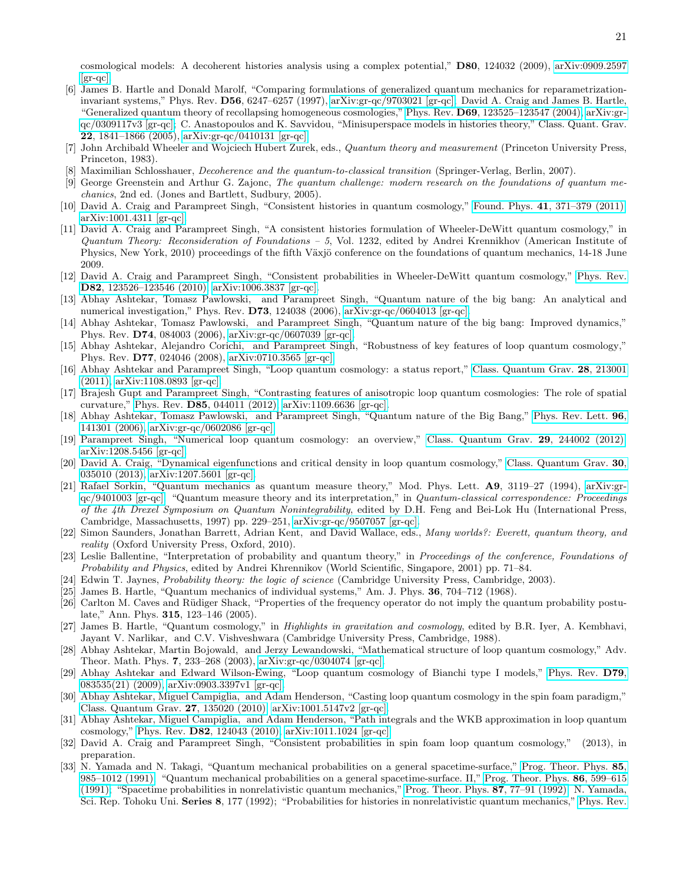<span id="page-21-24"></span>cosmological models: A decoherent histories analysis using a complex potential," D80, 124032 (2009), [arXiv:0909.2597](http://arxiv.org/abs/0909.2597)  $\left[\text{gr-qc}\right]$ .

- <span id="page-21-0"></span>[6] James B. Hartle and Donald Marolf, "Comparing formulations of generalized quantum mechanics for reparametrizationinvariant systems," Phys. Rev. D56, 6247–6257 (1997), [arXiv:gr-qc/9703021 \[gr-qc\];](http://arxiv.org/abs/gr-qc/9703021) David A. Craig and James B. Hartle, "Generalized quantum theory of recollapsing homogeneous cosmologies," Phys. Rev. D69[, 123525–123547 \(2004\),](http://dx.doi.org/10.1103/PhysRevD.69.123525) [arXiv:gr](http://arxiv.org/abs/gr-qc/0309117v3)[qc/0309117v3 \[gr-qc\];](http://arxiv.org/abs/gr-qc/0309117v3) C. Anastopoulos and K. Savvidou, "Minisuperspace models in histories theory," Class. Quant. Grav. 22, 1841–1866 (2005), [arXiv:gr-qc/0410131 \[gr-qc\].](http://arxiv.org/abs/gr-qc/0410131)
- <span id="page-21-1"></span>[7] John Archibald Wheeler and Wojciech Hubert Zurek, eds., *Quantum theory and measurement* (Princeton University Press, Princeton, 1983).
- <span id="page-21-27"></span>[8] Maximilian Schlosshauer, Decoherence and the quantum-to-classical transition (Springer-Verlag, Berlin, 2007).
- <span id="page-21-2"></span>[9] George Greenstein and Arthur G. Zajonc, The quantum challenge: modern research on the foundations of quantum mechanics, 2nd ed. (Jones and Bartlett, Sudbury, 2005).
- <span id="page-21-3"></span>[10] David A. Craig and Parampreet Singh, "Consistent histories in quantum cosmology," Found. Phys. 41[, 371–379 \(2011\),](http://dx.doi.org/ 10.1007/s10701-010-9422-6) [arXiv:1001.4311 \[gr-qc\].](http://arxiv.org/abs/1001.4311)
- <span id="page-21-28"></span>[11] David A. Craig and Parampreet Singh, "A consistent histories formulation of Wheeler-DeWitt quantum cosmology," in Quantum Theory: Reconsideration of Foundations – 5, Vol. 1232, edited by Andrei Krennikhov (American Institute of Physics, New York, 2010) proceedings of the fifth Växjö conference on the foundations of quantum mechanics, 14-18 June 2009.
- <span id="page-21-4"></span>[12] David A. Craig and Parampreet Singh, "Consistent probabilities in Wheeler-DeWitt quantum cosmology," [Phys. Rev.](http://dx.doi.org/10.1103/PhysRevD.82.123526) D82[, 123526–123546 \(2010\),](http://dx.doi.org/10.1103/PhysRevD.82.123526) [arXiv:1006.3837 \[gr-qc\].](http://arxiv.org/abs/1006.3837)
- <span id="page-21-5"></span>[13] Abhay Ashtekar, Tomasz Pawlowski, and Parampreet Singh, "Quantum nature of the big bang: An analytical and numerical investigation," Phys. Rev. D73, 124038 (2006), [arXiv:gr-qc/0604013 \[gr-qc\].](http://arxiv.org/abs/gr-qc/0604013)
- <span id="page-21-8"></span>[14] Abhay Ashtekar, Tomasz Pawlowski, and Parampreet Singh, "Quantum nature of the big bang: Improved dynamics," Phys. Rev. D74, 084003 (2006), [arXiv:gr-qc/0607039 \[gr-qc\].](http://arxiv.org/abs/gr-qc/0607039)
- <span id="page-21-6"></span>[15] Abhay Ashtekar, Alejandro Corichi, and Parampreet Singh, "Robustness of key features of loop quantum cosmology," Phys. Rev. D77, 024046 (2008), [arXiv:0710.3565 \[gr-qc\].](http://arxiv.org/abs/0710.3565)
- <span id="page-21-7"></span>[16] Abhay Ashtekar and Parampreet Singh, "Loop quantum cosmology: a status report," [Class. Quantum Grav.](http://dx.doi.org/ 10.1088/0264-9381/28/21/213001) 28, 213001 [\(2011\),](http://dx.doi.org/ 10.1088/0264-9381/28/21/213001) [arXiv:1108.0893 \[gr-qc\].](http://arxiv.org/abs/1108.0893)
- <span id="page-21-11"></span>[17] Brajesh Gupt and Parampreet Singh, "Contrasting features of anisotropic loop quantum cosmologies: The role of spatial curvature," Phys. Rev. D85[, 044011 \(2012\),](http://dx.doi.org/10.1103/PhysRevD.85.044011) [arXiv:1109.6636 \[gr-qc\].](http://arxiv.org/abs/1109.6636)
- <span id="page-21-9"></span>[18] Abhay Ashtekar, Tomasz Pawlowski, and Parampreet Singh, "Quantum nature of the Big Bang," [Phys. Rev. Lett.](http://dx.doi.org/ 10.1103/PhysRevLett.96.141301) 96, [141301 \(2006\),](http://dx.doi.org/ 10.1103/PhysRevLett.96.141301) [arXiv:gr-qc/0602086 \[gr-qc\].](http://arxiv.org/abs/gr-qc/0602086)
- <span id="page-21-12"></span>[19] Parampreet Singh, "Numerical loop quantum cosmology: an overview," [Class. Quantum Grav.](http://dx.doi.org/ 10.1088/0264-9381/29/24/244002) 29, 244002 (2012), [arXiv:1208.5456 \[gr-qc\].](http://arxiv.org/abs/1208.5456)
- <span id="page-21-10"></span>[20] David A. Craig, "Dynamical eigenfunctions and critical density in loop quantum cosmology," [Class. Quantum Grav.](http://dx.doi.org/http://dx.doi.org/10.1088/0264-9381/30/3/035010) 30, [035010 \(2013\),](http://dx.doi.org/http://dx.doi.org/10.1088/0264-9381/30/3/035010) [arXiv:1207.5601 \[gr-qc\].](http://arxiv.org/abs/1207.5601)
- <span id="page-21-13"></span>[21] Rafael Sorkin, "Quantum mechanics as quantum measure theory," Mod. Phys. Lett. A9, 3119–27 (1994), [arXiv:gr](http://arxiv.org/abs/gr-qc/9401003)[qc/9401003 \[gr-qc\];](http://arxiv.org/abs/gr-qc/9401003) "Quantum measure theory and its interpretation," in Quantum-classical correspondence: Proceedings of the 4th Drexel Symposium on Quantum Nonintegrability, edited by D.H. Feng and Bei-Lok Hu (International Press, Cambridge, Massachusetts, 1997) pp. 229–251, [arXiv:gr-qc/9507057 \[gr-qc\].](http://arxiv.org/abs/gr-qc/9507057)
- <span id="page-21-14"></span>[22] Simon Saunders, Jonathan Barrett, Adrian Kent, and David Wallace, eds., Many worlds?: Everett, quantum theory, and reality (Oxford University Press, Oxford, 2010).
- <span id="page-21-15"></span>[23] Leslie Ballentine, "Interpretation of probability and quantum theory," in Proceedings of the conference, Foundations of Probability and Physics, edited by Andrei Khrennikov (World Scientific, Singapore, 2001) pp. 71–84.
- <span id="page-21-16"></span>[24] Edwin T. Jaynes, Probability theory: the logic of science (Cambridge University Press, Cambridge, 2003).
- <span id="page-21-17"></span>[25] James B. Hartle, "Quantum mechanics of individual systems," Am. J. Phys. 36, 704–712 (1968).
- <span id="page-21-18"></span>[26] Carlton M. Caves and Rüdiger Shack, "Properties of the frequency operator do not imply the quantum probability postulate," Ann. Phys. 315, 123–146 (2005).
- <span id="page-21-19"></span>[27] James B. Hartle, "Quantum cosmology," in Highlights in gravitation and cosmology, edited by B.R. Iyer, A. Kembhavi, Jayant V. Narlikar, and C.V. Vishveshwara (Cambridge University Press, Cambridge, 1988).
- <span id="page-21-20"></span>[28] Abhay Ashtekar, Martin Bojowald, and Jerzy Lewandowski, "Mathematical structure of loop quantum cosmology," Adv. Theor. Math. Phys. 7, 233–268 (2003), [arXiv:gr-qc/0304074 \[gr-qc\].](http://arxiv.org/abs/gr-qc/0304074)
- <span id="page-21-21"></span>[29] Abhay Ashtekar and Edward Wilson-Ewing, "Loop quantum cosmology of Bianchi type I models," [Phys. Rev.](http://dx.doi.org/ 10.1103/PhysRevD.79.083535) D79, [083535\(21\) \(2009\),](http://dx.doi.org/ 10.1103/PhysRevD.79.083535) [arXiv:0903.3397v1 \[gr-qc\].](http://arxiv.org/abs/0903.3397v1)
- <span id="page-21-22"></span>[30] Abhay Ashtekar, Miguel Campiglia, and Adam Henderson, "Casting loop quantum cosmology in the spin foam paradigm," [Class. Quantum Grav.](http://dx.doi.org/ 10.1088/0264-9381/27/13/135020) 27, 135020 (2010), [arXiv:1001.5147v2 \[gr-qc\].](http://arxiv.org/abs/1001.5147v2)
- <span id="page-21-23"></span>[31] Abhay Ashtekar, Miguel Campiglia, and Adam Henderson, "Path integrals and the WKB approximation in loop quantum cosmology," Phys. Rev. D82[, 124043 \(2010\),](http://dx.doi.org/10.1103/PhysRevD.82.124043) [arXiv:1011.1024 \[gr-qc\].](http://arxiv.org/abs/1011.1024)
- <span id="page-21-25"></span>[32] David A. Craig and Parampreet Singh, "Consistent probabilities in spin foam loop quantum cosmology," (2013), in preparation.
- <span id="page-21-26"></span>[33] N. Yamada and N. Takagi, "Quantum mechanical probabilities on a general spacetime-surface," [Prog. Theor. Phys.](http://dx.doi.org/ 10.1143/PTP.85.985) 85, [985–1012 \(1991\);](http://dx.doi.org/ 10.1143/PTP.85.985) "Quantum mechanical probabilities on a general spacetime-surface. II," [Prog. Theor. Phys.](http://dx.doi.org/10.1143/PTP.86.599) 86, 599–615 [\(1991\);](http://dx.doi.org/10.1143/PTP.86.599) "Spacetime probabilities in nonrelativistic quantum mechanics," [Prog. Theor. Phys.](http://dx.doi.org/ 10.1143/PTP.87.77) 87, 77–91 (1992); N. Yamada, Sci. Rep. Tohoku Uni. Series 8, 177 (1992); "Probabilities for histories in nonrelativistic quantum mechanics," [Phys. Rev.](http://dx.doi.org/ 10.1103/PhysRevA.54.182)